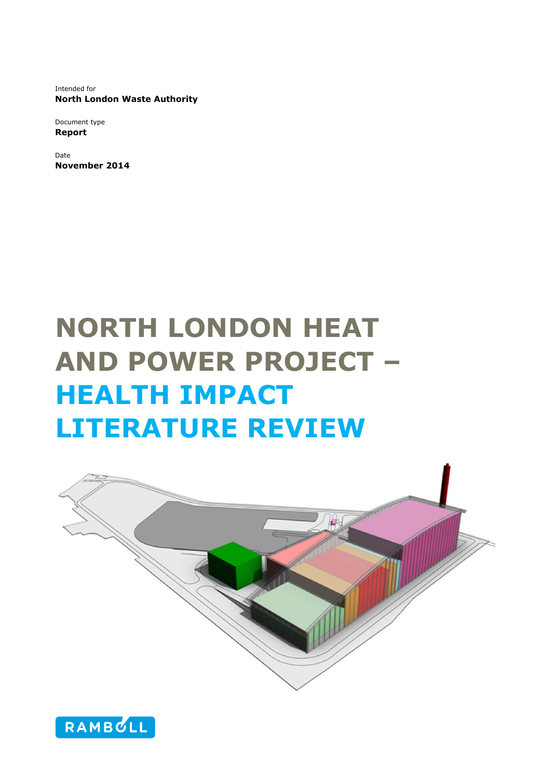Intended for **North London Waste Authority** 

Document type **Report** 

Date **November 2014** 

# **NORTH LONDON HEAT AND POWER PROJECT – HEALTH IMPACT LITERATURE REVIEW**



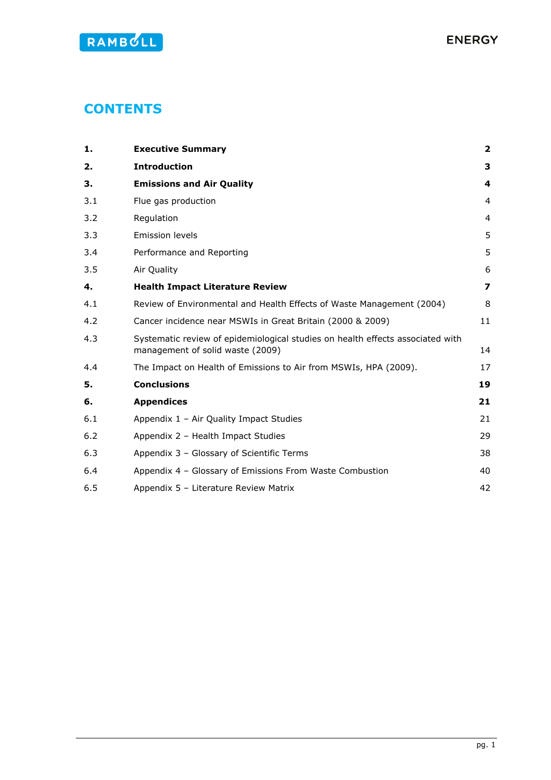# **CONTENTS**

| 1.  | <b>Executive Summary</b>                                                                                           | $\overline{2}$          |
|-----|--------------------------------------------------------------------------------------------------------------------|-------------------------|
| 2.  | <b>Introduction</b>                                                                                                | 3                       |
| З.  | <b>Emissions and Air Quality</b>                                                                                   | 4                       |
| 3.1 | Flue gas production                                                                                                | $\overline{4}$          |
| 3.2 | Regulation                                                                                                         | $\overline{4}$          |
| 3.3 | <b>Emission levels</b>                                                                                             | 5                       |
| 3.4 | Performance and Reporting                                                                                          | 5                       |
| 3.5 | Air Quality                                                                                                        | 6                       |
| 4.  | <b>Health Impact Literature Review</b>                                                                             | $\overline{\mathbf{z}}$ |
| 4.1 | Review of Environmental and Health Effects of Waste Management (2004)                                              | 8                       |
| 4.2 | Cancer incidence near MSWIs in Great Britain (2000 & 2009)                                                         | 11                      |
| 4.3 | Systematic review of epidemiological studies on health effects associated with<br>management of solid waste (2009) | 14                      |
| 4.4 | The Impact on Health of Emissions to Air from MSWIs, HPA (2009).                                                   | 17                      |
| 5.  | <b>Conclusions</b>                                                                                                 | 19                      |
| 6.  | <b>Appendices</b>                                                                                                  | 21                      |
| 6.1 | Appendix 1 - Air Quality Impact Studies                                                                            | 21                      |
| 6.2 | Appendix 2 - Health Impact Studies                                                                                 | 29                      |
| 6.3 | Appendix 3 - Glossary of Scientific Terms                                                                          | 38                      |
| 6.4 | Appendix 4 - Glossary of Emissions From Waste Combustion                                                           | 40                      |
| 6.5 | Appendix 5 - Literature Review Matrix                                                                              | 42                      |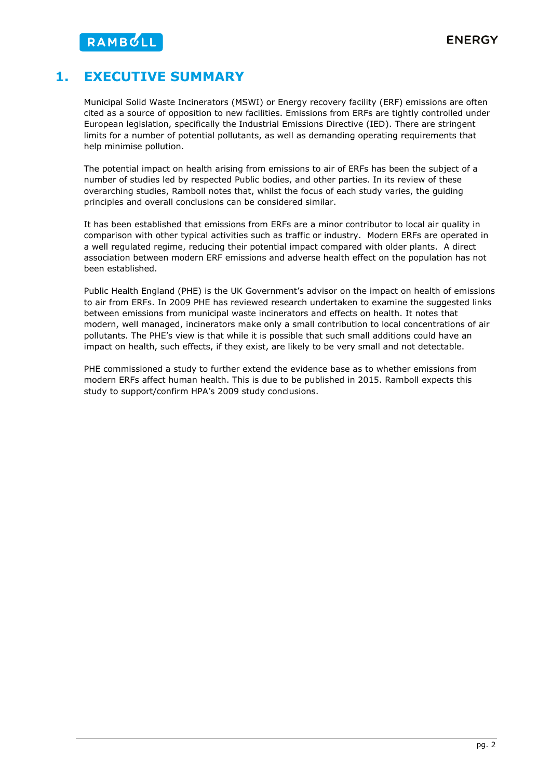# **1. EXECUTIVE SUMMARY**

Municipal Solid Waste Incinerators (MSWI) or Energy recovery facility (ERF) emissions are often cited as a source of opposition to new facilities. Emissions from ERFs are tightly controlled under European legislation, specifically the Industrial Emissions Directive (IED). There are stringent limits for a number of potential pollutants, as well as demanding operating requirements that help minimise pollution.

The potential impact on health arising from emissions to air of ERFs has been the subject of a number of studies led by respected Public bodies, and other parties. In its review of these overarching studies, Ramboll notes that, whilst the focus of each study varies, the guiding principles and overall conclusions can be considered similar.

It has been established that emissions from ERFs are a minor contributor to local air quality in comparison with other typical activities such as traffic or industry. Modern ERFs are operated in a well regulated regime, reducing their potential impact compared with older plants. A direct association between modern ERF emissions and adverse health effect on the population has not been established.

Public Health England (PHE) is the UK Government's advisor on the impact on health of emissions to air from ERFs. In 2009 PHE has reviewed research undertaken to examine the suggested links between emissions from municipal waste incinerators and effects on health. It notes that modern, well managed, incinerators make only a small contribution to local concentrations of air pollutants. The PHE's view is that while it is possible that such small additions could have an impact on health, such effects, if they exist, are likely to be very small and not detectable.

PHE commissioned a study to further extend the evidence base as to whether emissions from modern ERFs affect human health. This is due to be published in 2015. Ramboll expects this study to support/confirm HPA's 2009 study conclusions.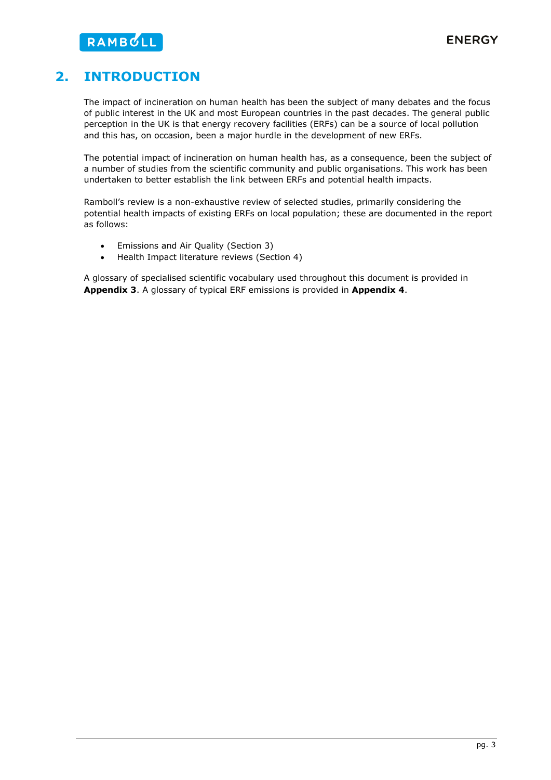# **2. INTRODUCTION**

The impact of incineration on human health has been the subject of many debates and the focus of public interest in the UK and most European countries in the past decades. The general public perception in the UK is that energy recovery facilities (ERFs) can be a source of local pollution and this has, on occasion, been a major hurdle in the development of new ERFs.

The potential impact of incineration on human health has, as a consequence, been the subject of a number of studies from the scientific community and public organisations. This work has been undertaken to better establish the link between ERFs and potential health impacts.

Ramboll's review is a non-exhaustive review of selected studies, primarily considering the potential health impacts of existing ERFs on local population; these are documented in the report as follows:

- Emissions and Air Quality (Section 3)
- Health Impact literature reviews (Section 4)

A glossary of specialised scientific vocabulary used throughout this document is provided in **Appendix 3**. A glossary of typical ERF emissions is provided in **Appendix 4**.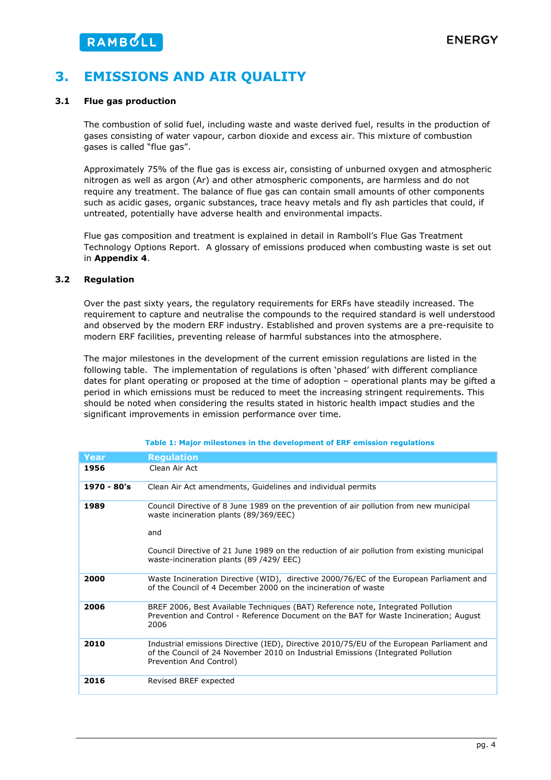# **3. EMISSIONS AND AIR QUALITY**

### **3.1 Flue gas production**

The combustion of solid fuel, including waste and waste derived fuel, results in the production of gases consisting of water vapour, carbon dioxide and excess air. This mixture of combustion gases is called "flue gas".

Approximately 75% of the flue gas is excess air, consisting of unburned oxygen and atmospheric nitrogen as well as argon (Ar) and other atmospheric components, are harmless and do not require any treatment. The balance of flue gas can contain small amounts of other components such as acidic gases, organic substances, trace heavy metals and fly ash particles that could, if untreated, potentially have adverse health and environmental impacts.

Flue gas composition and treatment is explained in detail in Ramboll's Flue Gas Treatment Technology Options Report. A glossary of emissions produced when combusting waste is set out in **Appendix 4**.

### **3.2 Regulation**

Over the past sixty years, the regulatory requirements for ERFs have steadily increased. The requirement to capture and neutralise the compounds to the required standard is well understood and observed by the modern ERF industry. Established and proven systems are a pre-requisite to modern ERF facilities, preventing release of harmful substances into the atmosphere.

The major milestones in the development of the current emission regulations are listed in the following table. The implementation of regulations is often 'phased' with different compliance dates for plant operating or proposed at the time of adoption – operational plants may be gifted a period in which emissions must be reduced to meet the increasing stringent requirements. This should be noted when considering the results stated in historic health impact studies and the significant improvements in emission performance over time.

| Year        | <b>Regulation</b>                                                                                                                                                                                                                                                                  |
|-------------|------------------------------------------------------------------------------------------------------------------------------------------------------------------------------------------------------------------------------------------------------------------------------------|
| 1956        | Clean Air Act                                                                                                                                                                                                                                                                      |
| 1970 - 80's | Clean Air Act amendments, Guidelines and individual permits                                                                                                                                                                                                                        |
| 1989        | Council Directive of 8 June 1989 on the prevention of air pollution from new municipal<br>waste incineration plants (89/369/EEC)<br>and<br>Council Directive of 21 June 1989 on the reduction of air pollution from existing municipal<br>waste-incineration plants (89 /429/ EEC) |
| 2000        | Waste Incineration Directive (WID), directive 2000/76/EC of the European Parliament and<br>of the Council of 4 December 2000 on the incineration of waste                                                                                                                          |
| 2006        | BREF 2006, Best Available Techniques (BAT) Reference note, Integrated Pollution<br>Prevention and Control - Reference Document on the BAT for Waste Incineration; August<br>2006                                                                                                   |
| 2010        | Industrial emissions Directive (IED), Directive 2010/75/EU of the European Parliament and<br>of the Council of 24 November 2010 on Industrial Emissions (Integrated Pollution<br>Prevention And Control)                                                                           |
| 2016        | Revised BREF expected                                                                                                                                                                                                                                                              |

#### **Table 1: Major milestones in the development of ERF emission regulations**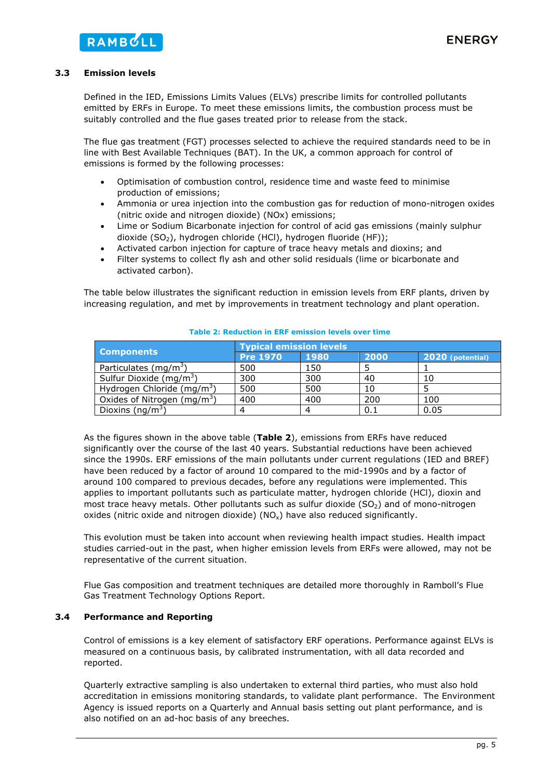### **3.3 Emission levels**

Defined in the IED, Emissions Limits Values (ELVs) prescribe limits for controlled pollutants emitted by ERFs in Europe. To meet these emissions limits, the combustion process must be suitably controlled and the flue gases treated prior to release from the stack.

The flue gas treatment (FGT) processes selected to achieve the required standards need to be in line with Best Available Techniques (BAT). In the UK, a common approach for control of emissions is formed by the following processes:

- Optimisation of combustion control, residence time and waste feed to minimise production of emissions;
- Ammonia or urea injection into the combustion gas for reduction of mono-nitrogen oxides (nitric oxide and nitrogen dioxide) (NOx) emissions;
- Lime or Sodium Bicarbonate injection for control of acid gas emissions (mainly sulphur dioxide (SO<sub>2</sub>), hydrogen chloride (HCl), hydrogen fluoride (HF));
- Activated carbon injection for capture of trace heavy metals and dioxins; and
- Filter systems to collect fly ash and other solid residuals (lime or bicarbonate and activated carbon).

The table below illustrates the significant reduction in emission levels from ERF plants, driven by increasing regulation, and met by improvements in treatment technology and plant operation.

|                                         | <b>Typical emission levels</b> |      |      |                  |  |  |
|-----------------------------------------|--------------------------------|------|------|------------------|--|--|
| <b>Components</b>                       | <b>Pre 1970</b>                | 1980 | 2000 | 2020 (potential) |  |  |
| Particulates ( $mq/m3$ )                | 500                            | 150  |      |                  |  |  |
| Sulfur Dioxide (mg/m <sup>3</sup> )     | 300                            | 300  | 40   | 10               |  |  |
| Hydrogen Chloride (mg/m <sup>3</sup> )  | 500                            | 500  | 10   |                  |  |  |
| Oxides of Nitrogen (mg/m <sup>3</sup> ) | 400                            | 400  | 200  | 100              |  |  |
| Dioxins (ng/m <sup>3</sup> )            |                                |      | 0.1  | 0.05             |  |  |

### **Table 2: Reduction in ERF emission levels over time**

As the figures shown in the above table (**Table 2**), emissions from ERFs have reduced significantly over the course of the last 40 years. Substantial reductions have been achieved since the 1990s. ERF emissions of the main pollutants under current regulations (IED and BREF) have been reduced by a factor of around 10 compared to the mid-1990s and by a factor of around 100 compared to previous decades, before any regulations were implemented. This applies to important pollutants such as particulate matter, hydrogen chloride (HCl), dioxin and most trace heavy metals. Other pollutants such as sulfur dioxide  $(SO<sub>2</sub>)$  and of mono-nitrogen oxides (nitric oxide and nitrogen dioxide)  $(NO<sub>x</sub>)$  have also reduced significantly.

This evolution must be taken into account when reviewing health impact studies. Health impact studies carried-out in the past, when higher emission levels from ERFs were allowed, may not be representative of the current situation.

Flue Gas composition and treatment techniques are detailed more thoroughly in Ramboll's Flue Gas Treatment Technology Options Report.

### **3.4 Performance and Reporting**

Control of emissions is a key element of satisfactory ERF operations. Performance against ELVs is measured on a continuous basis, by calibrated instrumentation, with all data recorded and reported.

Quarterly extractive sampling is also undertaken to external third parties, who must also hold accreditation in emissions monitoring standards, to validate plant performance. The Environment Agency is issued reports on a Quarterly and Annual basis setting out plant performance, and is also notified on an ad-hoc basis of any breeches.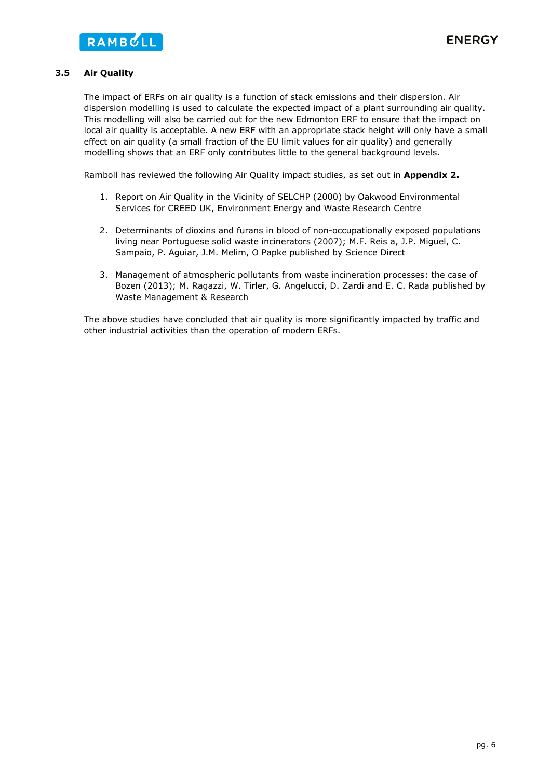### **3.5 Air Quality**

The impact of ERFs on air quality is a function of stack emissions and their dispersion. Air dispersion modelling is used to calculate the expected impact of a plant surrounding air quality. This modelling will also be carried out for the new Edmonton ERF to ensure that the impact on local air quality is acceptable. A new ERF with an appropriate stack height will only have a small effect on air quality (a small fraction of the EU limit values for air quality) and generally modelling shows that an ERF only contributes little to the general background levels.

Ramboll has reviewed the following Air Quality impact studies, as set out in **Appendix 2.** 

- 1. Report on Air Quality in the Vicinity of SELCHP (2000) by Oakwood Environmental Services for CREED UK, Environment Energy and Waste Research Centre
- 2. Determinants of dioxins and furans in blood of non-occupationally exposed populations living near Portuguese solid waste incinerators (2007); M.F. Reis a, J.P. Miguel, C. Sampaio, P. Aguiar, J.M. Melim, O Papke published by Science Direct
- 3. Management of atmospheric pollutants from waste incineration processes: the case of Bozen (2013); M. Ragazzi, W. Tirler, G. Angelucci, D. Zardi and E. C. Rada published by Waste Management & Research

The above studies have concluded that air quality is more significantly impacted by traffic and other industrial activities than the operation of modern ERFs.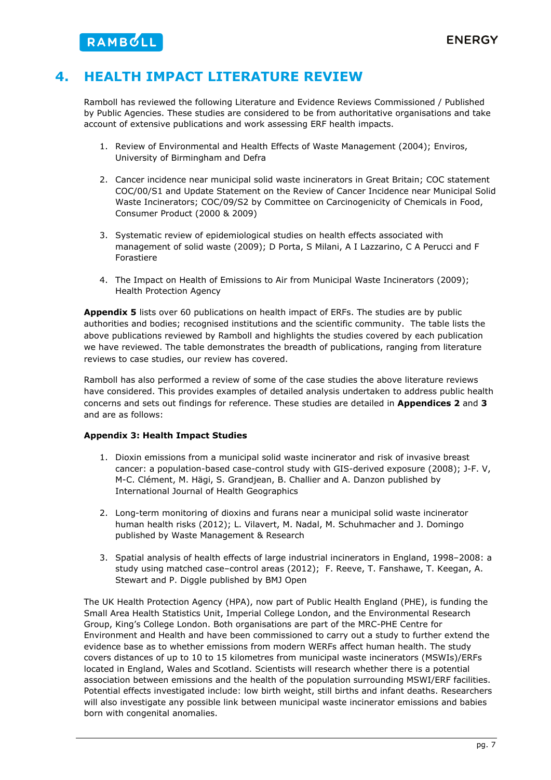# **4. HEALTH IMPACT LITERATURE REVIEW**

Ramboll has reviewed the following Literature and Evidence Reviews Commissioned / Published by Public Agencies. These studies are considered to be from authoritative organisations and take account of extensive publications and work assessing ERF health impacts.

- 1. Review of Environmental and Health Effects of Waste Management (2004); Enviros, University of Birmingham and Defra
- 2. Cancer incidence near municipal solid waste incinerators in Great Britain; COC statement COC/00/S1 and Update Statement on the Review of Cancer Incidence near Municipal Solid Waste Incinerators; COC/09/S2 by Committee on Carcinogenicity of Chemicals in Food, Consumer Product (2000 & 2009)
- 3. Systematic review of epidemiological studies on health effects associated with management of solid waste (2009); D Porta, S Milani, A I Lazzarino, C A Perucci and F Forastiere
- 4. The Impact on Health of Emissions to Air from Municipal Waste Incinerators (2009); Health Protection Agency

**Appendix 5** lists over 60 publications on health impact of ERFs. The studies are by public authorities and bodies; recognised institutions and the scientific community. The table lists the above publications reviewed by Ramboll and highlights the studies covered by each publication we have reviewed. The table demonstrates the breadth of publications, ranging from literature reviews to case studies, our review has covered.

Ramboll has also performed a review of some of the case studies the above literature reviews have considered. This provides examples of detailed analysis undertaken to address public health concerns and sets out findings for reference. These studies are detailed in **Appendices 2** and **3** and are as follows:

### **Appendix 3: Health Impact Studies**

- 1. Dioxin emissions from a municipal solid waste incinerator and risk of invasive breast cancer: a population-based case-control study with GIS-derived exposure (2008); J-F. V, M-C. Clément, M. Hägi, S. Grandjean, B. Challier and A. Danzon published by International Journal of Health Geographics
- 2. Long-term monitoring of dioxins and furans near a municipal solid waste incinerator human health risks (2012); L. Vilavert, M. Nadal, M. Schuhmacher and J. Domingo published by Waste Management & Research
- 3. Spatial analysis of health effects of large industrial incinerators in England, 1998–2008: a study using matched case–control areas (2012); F. Reeve, T. Fanshawe, T. Keegan, A. Stewart and P. Diggle published by BMJ Open

The UK Health Protection Agency (HPA), now part of Public Health England (PHE), is funding the Small Area Health Statistics Unit, Imperial College London, and the Environmental Research Group, King's College London. Both organisations are part of the MRC-PHE Centre for Environment and Health and have been commissioned to carry out a study to further extend the evidence base as to whether emissions from modern WERFs affect human health. The study covers distances of up to 10 to 15 kilometres from municipal waste incinerators (MSWIs)/ERFs located in England, Wales and Scotland. Scientists will research whether there is a potential association between emissions and the health of the population surrounding MSWI/ERF facilities. Potential effects investigated include: low birth weight, still births and infant deaths. Researchers will also investigate any possible link between municipal waste incinerator emissions and babies born with congenital anomalies.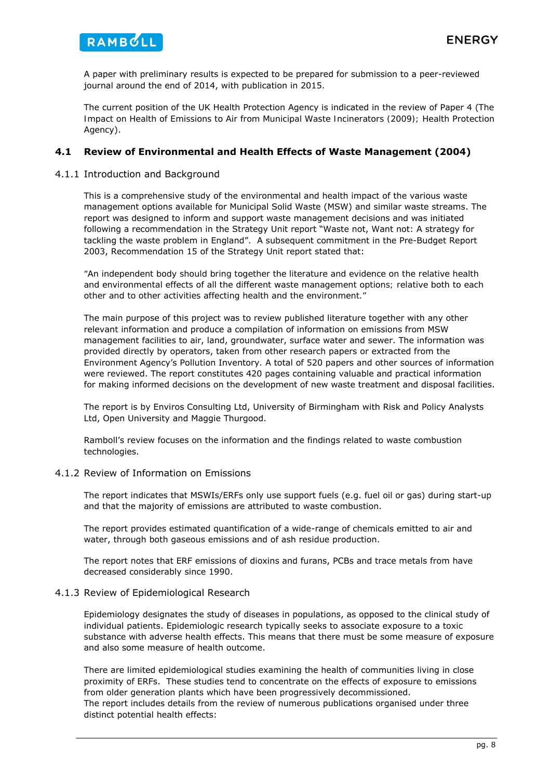

A paper with preliminary results is expected to be prepared for submission to a peer-reviewed journal around the end of 2014, with publication in 2015.

The current position of the UK Health Protection Agency is indicated in the review of Paper 4 (*The Impact on Health of Emissions to Air from Municipal Waste Incinerators (2009); Health Protection Agency*).

### **4.1 Review of Environmental and Health Effects of Waste Management (2004)**

4.1.1 Introduction and Background

This is a comprehensive study of the environmental and health impact of the various waste management options available for Municipal Solid Waste (MSW) and similar waste streams. The report was designed to inform and support waste management decisions and was initiated following a recommendation in the Strategy Unit report "Waste not, Want not: A strategy for tackling the waste problem in England". A subsequent commitment in the Pre-Budget Report 2003, Recommendation 15 of the Strategy Unit report stated that:

*"An independent body should bring together the literature and evidence on the relative health and environmental effects of all the different waste management options; relative both to each other and to other activities affecting health and the environment."* 

The main purpose of this project was to review published literature together with any other relevant information and produce a compilation of information on emissions from MSW management facilities to air, land, groundwater, surface water and sewer. The information was provided directly by operators, taken from other research papers or extracted from the Environment Agency's Pollution Inventory. A total of 520 papers and other sources of information were reviewed. The report constitutes 420 pages containing valuable and practical information for making informed decisions on the development of new waste treatment and disposal facilities.

The report is by Enviros Consulting Ltd, University of Birmingham with Risk and Policy Analysts Ltd, Open University and Maggie Thurgood.

Ramboll's review focuses on the information and the findings related to waste combustion technologies.

### 4.1.2 Review of Information on Emissions

The report indicates that MSWIs/ERFs only use support fuels (e.g. fuel oil or gas) during start-up and that the majority of emissions are attributed to waste combustion.

The report provides estimated quantification of a wide-range of chemicals emitted to air and water, through both gaseous emissions and of ash residue production.

The report notes that ERF emissions of dioxins and furans, PCBs and trace metals from have decreased considerably since 1990.

### 4.1.3 Review of Epidemiological Research

Epidemiology designates the study of diseases in populations, as opposed to the clinical study of individual patients. Epidemiologic research typically seeks to associate exposure to a toxic substance with adverse health effects. This means that there must be some measure of exposure and also some measure of health outcome.

There are limited epidemiological studies examining the health of communities living in close proximity of ERFs. These studies tend to concentrate on the effects of exposure to emissions from older generation plants which have been progressively decommissioned. The report includes details from the review of numerous publications organised under three distinct potential health effects: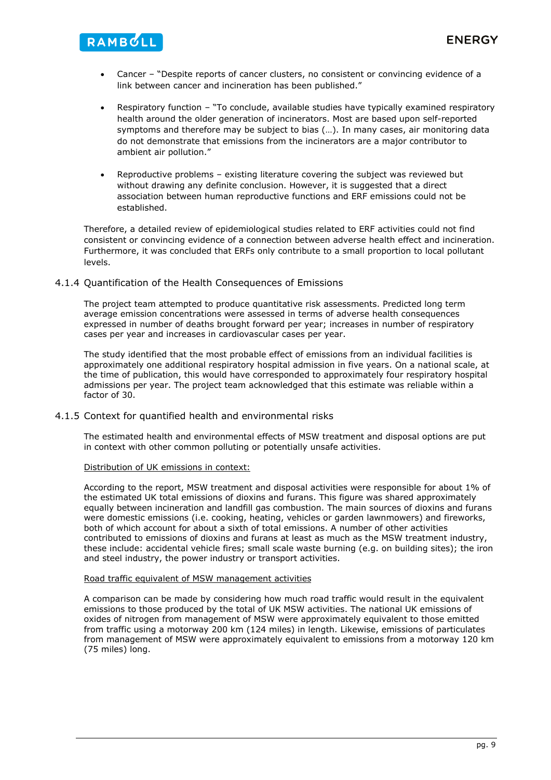- Cancer "Despite reports of cancer clusters, no consistent or convincing evidence of a link between cancer and incineration has been published."
- Respiratory function "To conclude, available studies have typically examined respiratory health around the older generation of incinerators. Most are based upon self-reported symptoms and therefore may be subject to bias (…). In many cases, air monitoring data do not demonstrate that emissions from the incinerators are a major contributor to ambient air pollution."
- Reproductive problems existing literature covering the subject was reviewed but without drawing any definite conclusion. However, it is suggested that a direct association between human reproductive functions and ERF emissions could not be established.

Therefore, a detailed review of epidemiological studies related to ERF activities could not find consistent or convincing evidence of a connection between adverse health effect and incineration. Furthermore, it was concluded that ERFs only contribute to a small proportion to local pollutant levels.

### 4.1.4 Quantification of the Health Consequences of Emissions

RAMBULL

The project team attempted to produce quantitative risk assessments. Predicted long term average emission concentrations were assessed in terms of adverse health consequences expressed in number of deaths brought forward per year; increases in number of respiratory cases per year and increases in cardiovascular cases per year.

The study identified that the most probable effect of emissions from an individual facilities is approximately one additional respiratory hospital admission in five years. On a national scale, at the time of publication, this would have corresponded to approximately four respiratory hospital admissions per year. The project team acknowledged that this estimate was reliable within a factor of 30.

### 4.1.5 Context for quantified health and environmental risks

The estimated health and environmental effects of MSW treatment and disposal options are put in context with other common polluting or potentially unsafe activities.

### Distribution of UK emissions in context:

According to the report, MSW treatment and disposal activities were responsible for about 1% of the estimated UK total emissions of dioxins and furans. This figure was shared approximately equally between incineration and landfill gas combustion. The main sources of dioxins and furans were domestic emissions (i.e. cooking, heating, vehicles or garden lawnmowers) and fireworks, both of which account for about a sixth of total emissions. A number of other activities contributed to emissions of dioxins and furans at least as much as the MSW treatment industry, these include: accidental vehicle fires; small scale waste burning (e.g. on building sites); the iron and steel industry, the power industry or transport activities.

### Road traffic equivalent of MSW management activities

A comparison can be made by considering how much road traffic would result in the equivalent emissions to those produced by the total of UK MSW activities. The national UK emissions of oxides of nitrogen from management of MSW were approximately equivalent to those emitted from traffic using a motorway 200 km (124 miles) in length. Likewise, emissions of particulates from management of MSW were approximately equivalent to emissions from a motorway 120 km (75 miles) long.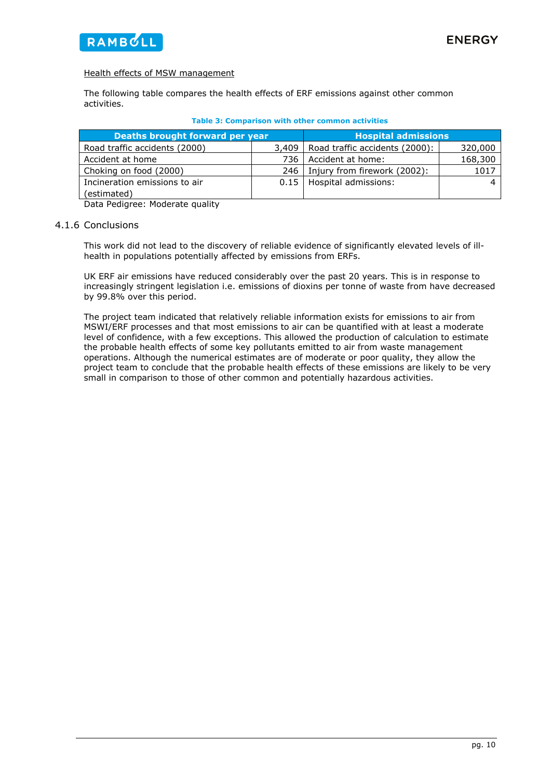

### Health effects of MSW management

The following table compares the health effects of ERF emissions against other common activities.

| Deaths brought forward per year | <b>Hospital admissions</b> |                                |         |
|---------------------------------|----------------------------|--------------------------------|---------|
| Road traffic accidents (2000)   | 3.409                      | Road traffic accidents (2000): | 320,000 |
| Accident at home                | 736 I                      | Accident at home:              | 168,300 |
| Choking on food (2000)          | 246                        | Injury from firework (2002):   | 1017    |
| Incineration emissions to air   |                            | 0.15   Hospital admissions:    |         |
| (estimated)                     |                            |                                |         |

|  | <b>Table 3: Comparison with other common activities</b> |  |  |  |  |
|--|---------------------------------------------------------|--|--|--|--|
|--|---------------------------------------------------------|--|--|--|--|

Data Pedigree: Moderate quality

### 4.1.6 Conclusions

This work did not lead to the discovery of reliable evidence of significantly elevated levels of illhealth in populations potentially affected by emissions from ERFs.

UK ERF air emissions have reduced considerably over the past 20 years. This is in response to increasingly stringent legislation i.e. emissions of dioxins per tonne of waste from have decreased by 99.8% over this period.

The project team indicated that relatively reliable information exists for emissions to air from MSWI/ERF processes and that most emissions to air can be quantified with at least a moderate level of confidence, with a few exceptions. This allowed the production of calculation to estimate the probable health effects of some key pollutants emitted to air from waste management operations. Although the numerical estimates are of moderate or poor quality, they allow the project team to conclude that the probable health effects of these emissions are likely to be very small in comparison to those of other common and potentially hazardous activities.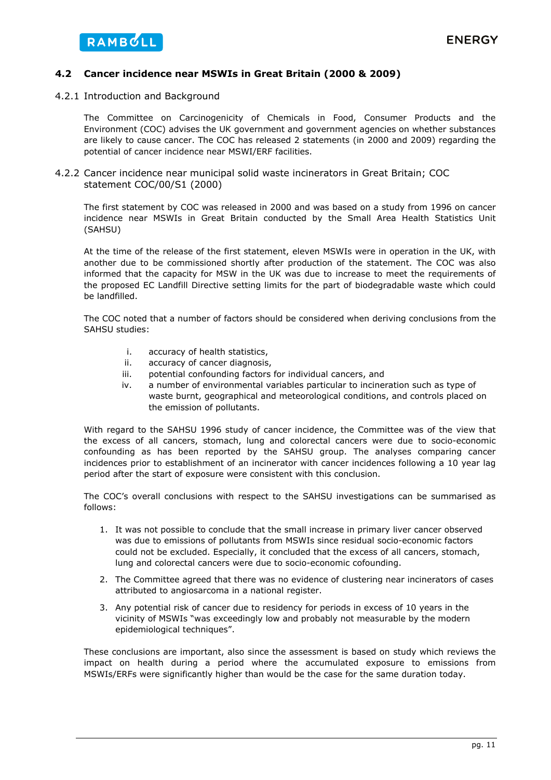### **4.2 Cancer incidence near MSWIs in Great Britain (2000 & 2009)**

4.2.1 Introduction and Background

The Committee on Carcinogenicity of Chemicals in Food, Consumer Products and the Environment (COC) advises the UK government and government agencies on whether substances are likely to cause cancer. The COC has released 2 statements (in 2000 and 2009) regarding the potential of cancer incidence near MSWI/ERF facilities.

4.2.2 Cancer incidence near municipal solid waste incinerators in Great Britain; COC statement COC/00/S1 (2000)

The first statement by COC was released in 2000 and was based on a study from 1996 on cancer incidence near MSWIs in Great Britain conducted by the Small Area Health Statistics Unit (SAHSU)

At the time of the release of the first statement, eleven MSWIs were in operation in the UK, with another due to be commissioned shortly after production of the statement. The COC was also informed that the capacity for MSW in the UK was due to increase to meet the requirements of the proposed EC Landfill Directive setting limits for the part of biodegradable waste which could be landfilled.

The COC noted that a number of factors should be considered when deriving conclusions from the SAHSU studies:

- i. accuracy of health statistics,
- ii. accuracy of cancer diagnosis,
- iii. potential confounding factors for individual cancers, and
- iv. a number of environmental variables particular to incineration such as type of waste burnt, geographical and meteorological conditions, and controls placed on the emission of pollutants.

With regard to the SAHSU 1996 study of cancer incidence, the Committee was of the view that the excess of all cancers, stomach, lung and colorectal cancers were due to socio-economic confounding as has been reported by the SAHSU group. The analyses comparing cancer incidences prior to establishment of an incinerator with cancer incidences following a 10 year lag period after the start of exposure were consistent with this conclusion.

The COC's overall conclusions with respect to the SAHSU investigations can be summarised as follows:

- 1. It was not possible to conclude that the small increase in primary liver cancer observed was due to emissions of pollutants from MSWIs since residual socio-economic factors could not be excluded. Especially, it concluded that the excess of all cancers, stomach, lung and colorectal cancers were due to socio-economic cofounding.
- 2. The Committee agreed that there was no evidence of clustering near incinerators of cases attributed to angiosarcoma in a national register.
- 3. Any potential risk of cancer due to residency for periods in excess of 10 years in the vicinity of MSWIs "*was exceedingly low and probably not measurable by the modern epidemiological techniques*".

These conclusions are important, also since the assessment is based on study which reviews the impact on health during a period where the accumulated exposure to emissions from MSWIs/ERFs were significantly higher than would be the case for the same duration today.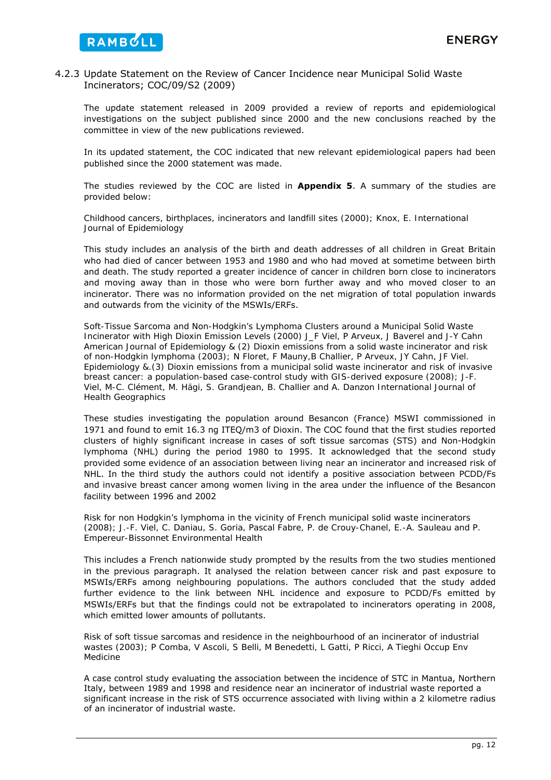### 4.2.3 Update Statement on the Review of Cancer Incidence near Municipal Solid Waste Incinerators; COC/09/S2 (2009)

The update statement released in 2009 provided a review of reports and epidemiological investigations on the subject published since 2000 and the new conclusions reached by the committee in view of the new publications reviewed.

In its updated statement, the COC indicated that new relevant epidemiological papers had been published since the 2000 statement was made.

The studies reviewed by the COC are listed in **Appendix 5**. A summary of the studies are provided below:

*Childhood cancers, birthplaces, incinerators and landfill sites (2000); Knox, E. International Journal of Epidemiology* 

This study includes an analysis of the birth and death addresses of all children in Great Britain who had died of cancer between 1953 and 1980 and who had moved at sometime between birth and death. The study reported a greater incidence of cancer in children born close to incinerators and moving away than in those who were born further away and who moved closer to an incinerator. There was no information provided on the net migration of total population inwards and outwards from the vicinity of the MSWIs/ERFs.

*Soft-Tissue Sarcoma and Non-Hodgkin's Lymphoma Clusters around a Municipal Solid Waste Incinerator with High Dioxin Emission Levels (2000) J\_F Viel, P Arveux, J Baverel and J-Y Cahn American Journal of Epidemiology & (2) Dioxin emissions from a solid waste incinerator and risk of non-Hodgkin lymphoma (2003); N Floret, F Mauny,B Challier, P Arveux, JY Cahn, JF Viel. Epidemiology &.(3) Dioxin emissions from a municipal solid waste incinerator and risk of invasive breast cancer: a population-based case-control study with GIS-derived exposure (2008); J-F. Viel, M-C. Clément, M. Hägi, S. Grandjean, B. Challier and A. Danzon International Journal of Health Geographics* 

These studies investigating the population around Besancon (France) MSWI commissioned in 1971 and found to emit 16.3 ng ITEQ/m3 of Dioxin. The COC found that the first studies reported clusters of highly significant increase in cases of soft tissue sarcomas (STS) and Non-Hodgkin lymphoma (NHL) during the period 1980 to 1995. It acknowledged that the second study provided some evidence of an association between living near an incinerator and increased risk of NHL. In the third study the authors could not identify a positive association between PCDD/Fs and invasive breast cancer among women living in the area under the influence of the Besancon facility between 1996 and 2002

*Risk for non Hodgkin's lymphoma in the vicinity of French municipal solid waste incinerators (2008); J.-F. Viel, C. Daniau, S. Goria, Pascal Fabre, P. de Crouy-Chanel, E.-A. Sauleau and P. Empereur-Bissonnet Environmental Health* 

This includes a French nationwide study prompted by the results from the two studies mentioned in the previous paragraph. It analysed the relation between cancer risk and past exposure to MSWIs/ERFs among neighbouring populations. The authors concluded that the study added further evidence to the link between NHL incidence and exposure to PCDD/Fs emitted by MSWIs/ERFs but that the findings could not be extrapolated to incinerators operating in 2008, which emitted lower amounts of pollutants.

*Risk of soft tissue sarcomas and residence in the neighbourhood of an incinerator of industrial wastes (2003); P Comba, V Ascoli, S Belli, M Benedetti, L Gatti, P Ricci, A Tieghi Occup Env Medicine* 

A case control study evaluating the association between the incidence of STC in Mantua, Northern Italy, between 1989 and 1998 and residence near an incinerator of industrial waste reported a significant increase in the risk of STS occurrence associated with living within a 2 kilometre radius of an incinerator of industrial waste.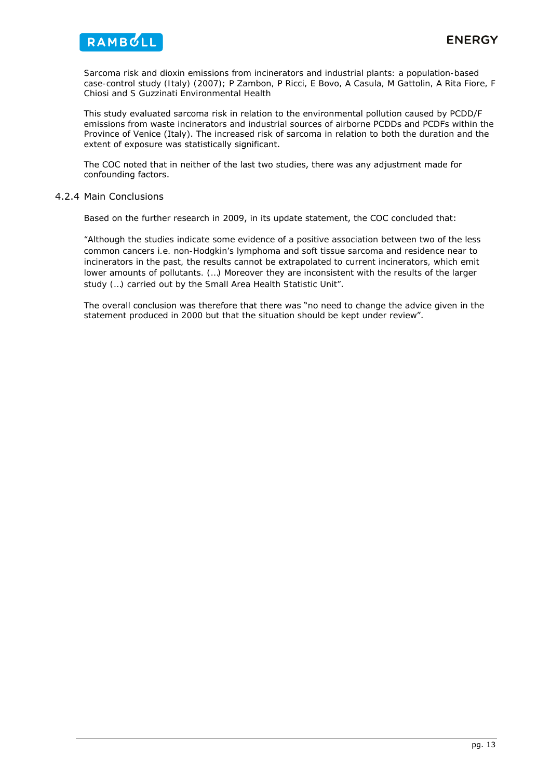

*Sarcoma risk and dioxin emissions from incinerators and industrial plants: a population-based case-control study (Italy) (2007); P Zambon, P Ricci, E Bovo, A Casula, M Gattolin, A Rita Fiore, F Chiosi and S Guzzinati Environmental Health* 

This study evaluated sarcoma risk in relation to the environmental pollution caused by PCDD/F emissions from waste incinerators and industrial sources of airborne PCDDs and PCDFs within the Province of Venice (Italy). The increased risk of sarcoma in relation to both the duration and the extent of exposure was statistically significant.

The COC noted that in neither of the last two studies, there was any adjustment made for confounding factors.

### 4.2.4 Main Conclusions

Based on the further research in 2009, in its update statement, the COC concluded that:

*"Although the studies indicate some evidence of a positive association between two of the less common cancers i.e. non-Hodgkin's lymphoma and soft tissue sarcoma and residence near to*  incinerators in the past, the results cannot be extrapolated to current incinerators, which emit *lower amounts of pollutants. (…) Moreover they are inconsistent with the results of the larger study (…) carried out by the Small Area Health Statistic Unit"*.

The overall conclusion was therefore that there was "*no need to change the advice given in the statement produced in 2000 but that the situation should be kept under review*".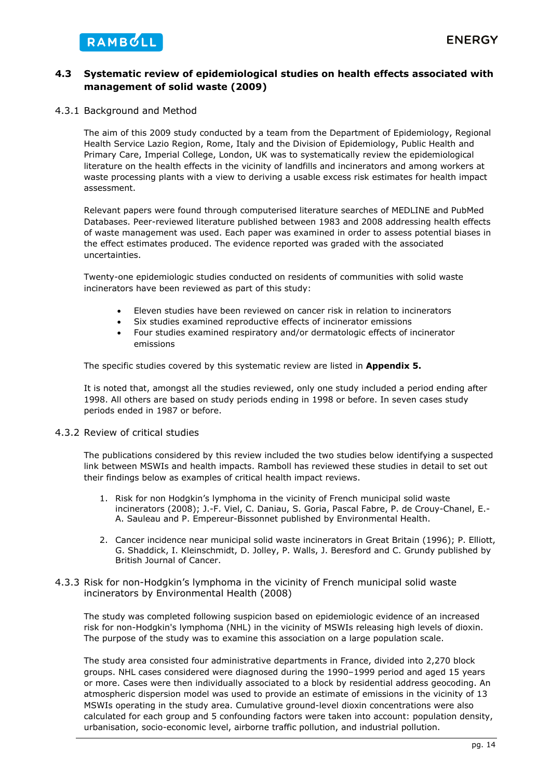### **4.3 Systematic review of epidemiological studies on health effects associated with management of solid waste (2009)**

### 4.3.1 Background and Method

The aim of this 2009 study conducted by a team from the Department of Epidemiology, Regional Health Service Lazio Region, Rome, Italy and the Division of Epidemiology, Public Health and Primary Care, Imperial College, London, UK was to systematically review the epidemiological literature on the health effects in the vicinity of landfills and incinerators and among workers at waste processing plants with a view to deriving a usable excess risk estimates for health impact assessment.

Relevant papers were found through computerised literature searches of MEDLINE and PubMed Databases. Peer-reviewed literature published between 1983 and 2008 addressing health effects of waste management was used. Each paper was examined in order to assess potential biases in the effect estimates produced. The evidence reported was graded with the associated uncertainties.

Twenty-one epidemiologic studies conducted on residents of communities with solid waste incinerators have been reviewed as part of this study:

- Eleven studies have been reviewed on cancer risk in relation to incinerators
- Six studies examined reproductive effects of incinerator emissions
- Four studies examined respiratory and/or dermatologic effects of incinerator emissions

The specific studies covered by this systematic review are listed in **Appendix 5.**

It is noted that, amongst all the studies reviewed, only one study included a period ending after 1998. All others are based on study periods ending in 1998 or before. In seven cases study periods ended in 1987 or before.

### 4.3.2 Review of critical studies

The publications considered by this review included the two studies below identifying a suspected link between MSWIs and health impacts. Ramboll has reviewed these studies in detail to set out their findings below as examples of critical health impact reviews.

- 1. Risk for non Hodgkin's lymphoma in the vicinity of French municipal solid waste incinerators (2008); J.-F. Viel, C. Daniau, S. Goria, Pascal Fabre, P. de Crouy-Chanel, E.- A. Sauleau and P. Empereur-Bissonnet published by Environmental Health.
- 2. Cancer incidence near municipal solid waste incinerators in Great Britain (1996); P. Elliott, G. Shaddick, I. Kleinschmidt, D. Jolley, P. Walls, J. Beresford and C. Grundy published by British Journal of Cancer.

### 4.3.3 Risk for non-Hodgkin's lymphoma in the vicinity of French municipal solid waste incinerators by Environmental Health (2008)

The study was completed following suspicion based on epidemiologic evidence of an increased risk for non-Hodgkin's lymphoma (NHL) in the vicinity of MSWIs releasing high levels of dioxin. The purpose of the study was to examine this association on a large population scale.

The study area consisted four administrative departments in France, divided into 2,270 block groups. NHL cases considered were diagnosed during the 1990–1999 period and aged 15 years or more. Cases were then individually associated to a block by residential address geocoding. An atmospheric dispersion model was used to provide an estimate of emissions in the vicinity of 13 MSWIs operating in the study area. Cumulative ground-level dioxin concentrations were also calculated for each group and 5 confounding factors were taken into account: population density, urbanisation, socio-economic level, airborne traffic pollution, and industrial pollution.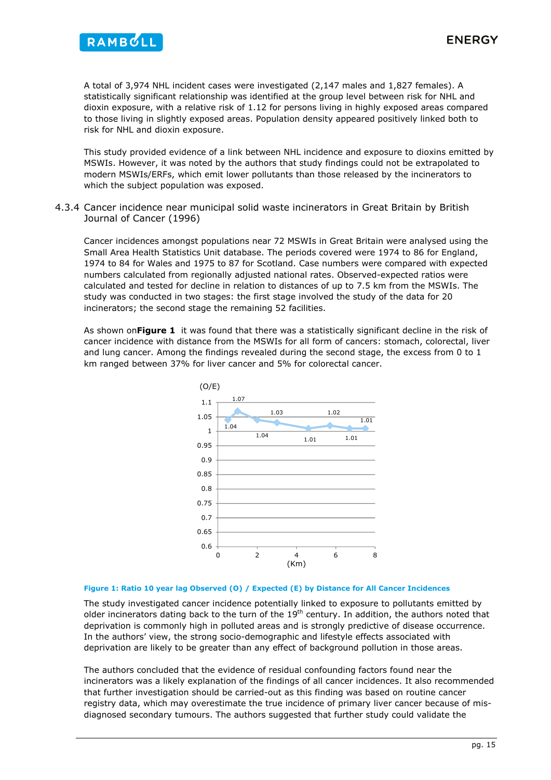

A total of 3,974 NHL incident cases were investigated (2,147 males and 1,827 females). A statistically significant relationship was identified at the group level between risk for NHL and dioxin exposure, with a relative risk of 1.12 for persons living in highly exposed areas compared to those living in slightly exposed areas. Population density appeared positively linked both to risk for NHL and dioxin exposure.

This study provided evidence of a link between NHL incidence and exposure to dioxins emitted by MSWIs. However, it was noted by the authors that study findings could not be extrapolated to modern MSWIs/ERFs, which emit lower pollutants than those released by the incinerators to which the subject population was exposed.

4.3.4 Cancer incidence near municipal solid waste incinerators in Great Britain by British Journal of Cancer (1996)

Cancer incidences amongst populations near 72 MSWIs in Great Britain were analysed using the Small Area Health Statistics Unit database. The periods covered were 1974 to 86 for England, 1974 to 84 for Wales and 1975 to 87 for Scotland. Case numbers were compared with expected numbers calculated from regionally adjusted national rates. Observed-expected ratios were calculated and tested for decline in relation to distances of up to 7.5 km from the MSWIs. The study was conducted in two stages: the first stage involved the study of the data for 20 incinerators; the second stage the remaining 52 facilities.

As shown on**Figure 1** it was found that there was a statistically significant decline in the risk of cancer incidence with distance from the MSWIs for all form of cancers: stomach, colorectal, liver and lung cancer. Among the findings revealed during the second stage, the excess from 0 to 1 km ranged between 37% for liver cancer and 5% for colorectal cancer.



#### **Figure 1: Ratio 10 year lag Observed (O) / Expected (E) by Distance for All Cancer Incidences**

The study investigated cancer incidence potentially linked to exposure to pollutants emitted by older incinerators dating back to the turn of the  $19<sup>th</sup>$  century. In addition, the authors noted that deprivation is commonly high in polluted areas and is strongly predictive of disease occurrence. In the authors' view, the strong socio-demographic and lifestyle effects associated with deprivation are likely to be greater than any effect of background pollution in those areas.

The authors concluded that the evidence of residual confounding factors found near the incinerators was a likely explanation of the findings of all cancer incidences. It also recommended that further investigation should be carried-out as this finding was based on routine cancer registry data, which may overestimate the true incidence of primary liver cancer because of misdiagnosed secondary tumours. The authors suggested that further study could validate the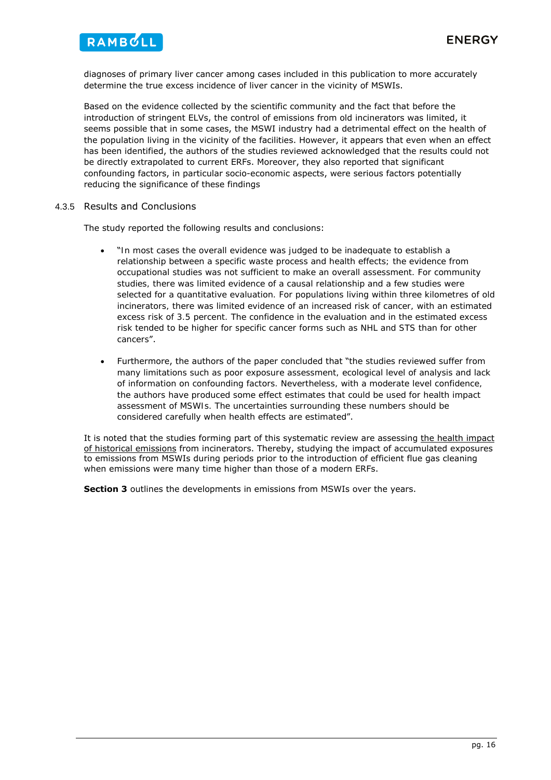

diagnoses of primary liver cancer among cases included in this publication to more accurately determine the true excess incidence of liver cancer in the vicinity of MSWIs.

Based on the evidence collected by the scientific community and the fact that before the introduction of stringent ELVs, the control of emissions from old incinerators was limited, it seems possible that in some cases, the MSWI industry had a detrimental effect on the health of the population living in the vicinity of the facilities. However, it appears that even when an effect has been identified, the authors of the studies reviewed acknowledged that the results could not be directly extrapolated to current ERFs. Moreover, they also reported that significant confounding factors, in particular socio-economic aspects, were serious factors potentially reducing the significance of these findings

### 4.3.5 Results and Conclusions

The study reported the following results and conclusions:

- "*In most cases the overall evidence was judged to be inadequate to establish a relationship between a specific waste process and health effects; the evidence from occupational studies was not sufficient to make an overall assessment. For community studies, there was limited evidence of a causal relationship and a few studies were selected for a quantitative evaluation. For populations living within three kilometres of old incinerators, there was limited evidence of an increased risk of cancer, with an estimated excess risk of 3.5 percent. The confidence in the evaluation and in the estimated excess risk tended to be higher for specific cancer forms such as NHL and STS than for other cancers*".
- Furthermore, the authors of the paper concluded that "*the studies reviewed suffer from many limitations such as poor exposure assessment, ecological level of analysis and lack of information on confounding factors. Nevertheless, with a moderate level confidence, the authors have produced some effect estimates that could be used for health impact assessment of MSWIs. The uncertainties surrounding these numbers should be considered carefully when health effects are estimated*".

It is noted that the studies forming part of this systematic review are assessing the health impact of historical emissions from incinerators. Thereby, studying the impact of accumulated exposures to emissions from MSWIs during periods prior to the introduction of efficient flue gas cleaning when emissions were many time higher than those of a modern ERFs.

**Section 3** outlines the developments in emissions from MSWIs over the years.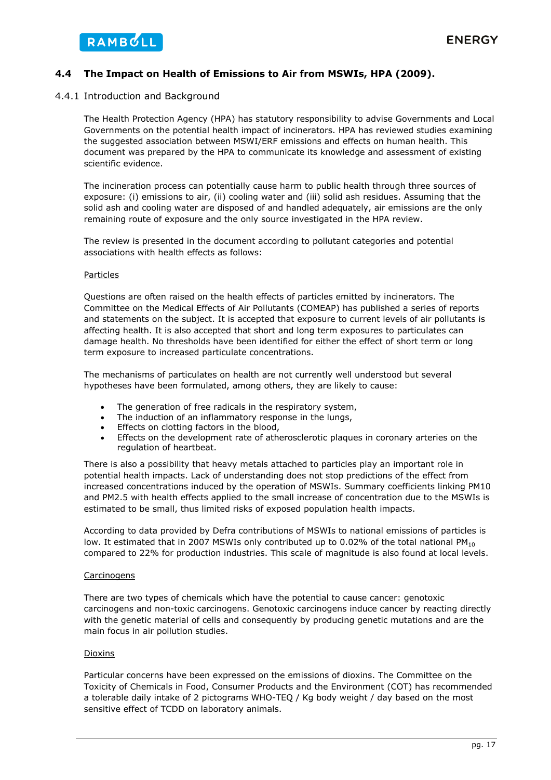### **4.4 The Impact on Health of Emissions to Air from MSWIs, HPA (2009).**

### 4.4.1 Introduction and Background

The Health Protection Agency (HPA) has statutory responsibility to advise Governments and Local Governments on the potential health impact of incinerators. HPA has reviewed studies examining the suggested association between MSWI/ERF emissions and effects on human health. This document was prepared by the HPA to communicate its knowledge and assessment of existing scientific evidence.

The incineration process can potentially cause harm to public health through three sources of exposure: (i) emissions to air, (ii) cooling water and (iii) solid ash residues. Assuming that the solid ash and cooling water are disposed of and handled adequately, air emissions are the only remaining route of exposure and the only source investigated in the HPA review.

The review is presented in the document according to pollutant categories and potential associations with health effects as follows:

### Particles

Questions are often raised on the health effects of particles emitted by incinerators. The Committee on the Medical Effects of Air Pollutants (COMEAP) has published a series of reports and statements on the subject. It is accepted that exposure to current levels of air pollutants is affecting health. It is also accepted that short and long term exposures to particulates can damage health. No thresholds have been identified for either the effect of short term or long term exposure to increased particulate concentrations.

The mechanisms of particulates on health are not currently well understood but several hypotheses have been formulated, among others, they are likely to cause:

- The generation of free radicals in the respiratory system,
- The induction of an inflammatory response in the lungs,
- Effects on clotting factors in the blood,
- Effects on the development rate of atherosclerotic plaques in coronary arteries on the regulation of heartbeat.

There is also a possibility that heavy metals attached to particles play an important role in potential health impacts. Lack of understanding does not stop predictions of the effect from increased concentrations induced by the operation of MSWIs. Summary coefficients linking PM10 and PM2.5 with health effects applied to the small increase of concentration due to the MSWIs is estimated to be small, thus limited risks of exposed population health impacts.

According to data provided by Defra contributions of MSWIs to national emissions of particles is low. It estimated that in 2007 MSWIs only contributed up to 0.02% of the total national PM<sub>10</sub> compared to 22% for production industries. This scale of magnitude is also found at local levels.

### **Carcinogens**

There are two types of chemicals which have the potential to cause cancer: genotoxic carcinogens and non-toxic carcinogens. Genotoxic carcinogens induce cancer by reacting directly with the genetic material of cells and consequently by producing genetic mutations and are the main focus in air pollution studies.

### **Dioxins**

Particular concerns have been expressed on the emissions of dioxins. The Committee on the Toxicity of Chemicals in Food, Consumer Products and the Environment (COT) has recommended a tolerable daily intake of 2 pictograms WHO-TEQ / Kg body weight / day based on the most sensitive effect of TCDD on laboratory animals.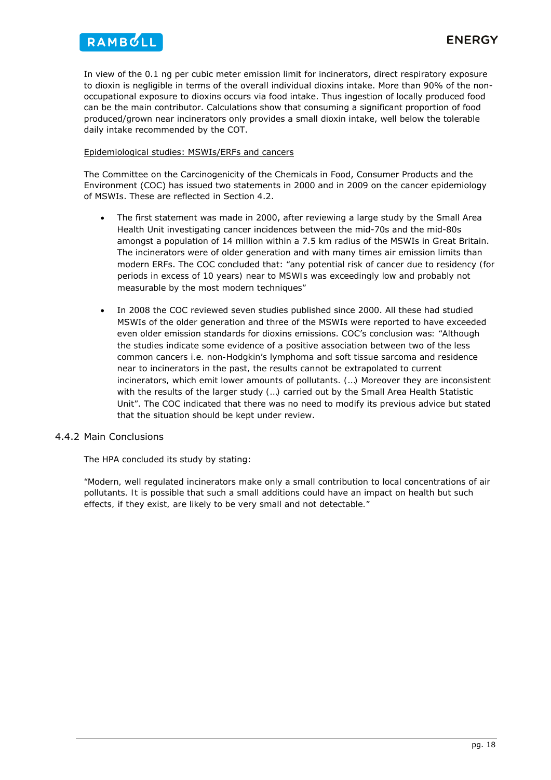

In view of the 0.1 ng per cubic meter emission limit for incinerators, direct respiratory exposure to dioxin is negligible in terms of the overall individual dioxins intake. More than 90% of the nonoccupational exposure to dioxins occurs via food intake. Thus ingestion of locally produced food can be the main contributor. Calculations show that consuming a significant proportion of food produced/grown near incinerators only provides a small dioxin intake, well below the tolerable daily intake recommended by the COT.

### Epidemiological studies: MSWIs/ERFs and cancers

The Committee on the Carcinogenicity of the Chemicals in Food, Consumer Products and the Environment (COC) has issued two statements in 2000 and in 2009 on the cancer epidemiology of MSWIs. These are reflected in Section 4.2.

- The first statement was made in 2000, after reviewing a large study by the Small Area Health Unit investigating cancer incidences between the mid-70s and the mid-80s amongst a population of 14 million within a 7.5 km radius of the MSWIs in Great Britain. The incinerators were of older generation and with many times air emission limits than modern ERFs. The COC concluded that: *"any potential risk of cancer due to residency (for periods in excess of 10 years) near to MSWIs was exceedingly low and probably not measurable by the most modern techniques"*
- In 2008 the COC reviewed seven studies published since 2000. All these had studied MSWIs of the older generation and three of the MSWIs were reported to have exceeded even older emission standards for dioxins emissions. COC's conclusion was*: "Although the studies indicate some evidence of a positive association between two of the less common cancers i.e. non-Hodgkin's lymphoma and soft tissue sarcoma and residence near to incinerators in the past, the results cannot be extrapolated to current incinerators, which emit lower amounts of pollutants. (…) Moreover they are inconsistent with the results of the larger study (…) carried out by the Small Area Health Statistic Unit"*. The COC indicated that there was no need to modify its previous advice but stated that the situation should be kept under review.

### 4.4.2 Main Conclusions

The HPA concluded its study by stating:

*"Modern, well regulated incinerators make only a small contribution to local concentrations of air pollutants. It is possible that such a small additions could have an impact on health but such effects, if they exist, are likely to be very small and not detectable."*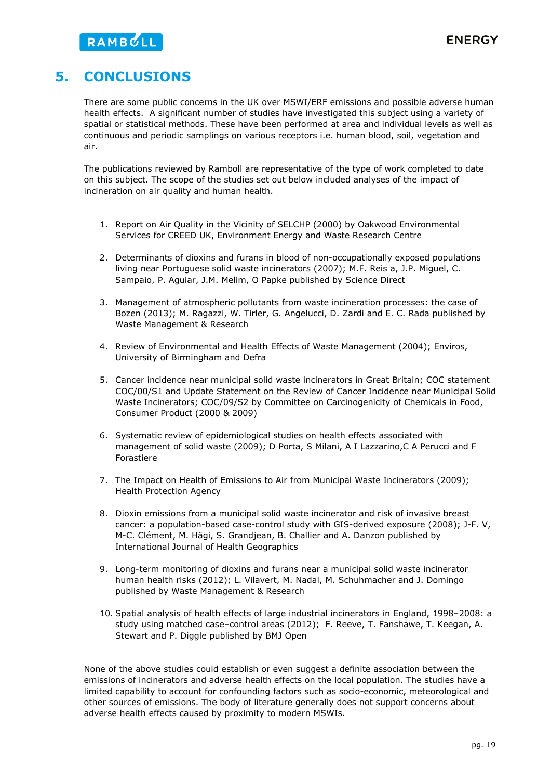# **5. CONCLUSIONS**

There are some public concerns in the UK over MSWI/ERF emissions and possible adverse human health effects. A significant number of studies have investigated this subject using a variety of spatial or statistical methods. These have been performed at area and individual levels as well as continuous and periodic samplings on various receptors i.e. human blood, soil, vegetation and air.

The publications reviewed by Ramboll are representative of the type of work completed to date on this subject. The scope of the studies set out below included analyses of the impact of incineration on air quality and human health.

- 1. Report on Air Quality in the Vicinity of SELCHP (2000) by Oakwood Environmental Services for CREED UK, Environment Energy and Waste Research Centre
- 2. Determinants of dioxins and furans in blood of non-occupationally exposed populations living near Portuguese solid waste incinerators (2007); M.F. Reis a, J.P. Miguel, C. Sampaio, P. Aguiar, J.M. Melim, O Papke published by Science Direct
- 3. Management of atmospheric pollutants from waste incineration processes: the case of Bozen (2013); M. Ragazzi, W. Tirler, G. Angelucci, D. Zardi and E. C. Rada published by Waste Management & Research
- 4. Review of Environmental and Health Effects of Waste Management (2004); Enviros, University of Birmingham and Defra
- 5. Cancer incidence near municipal solid waste incinerators in Great Britain; COC statement COC/00/S1 and Update Statement on the Review of Cancer Incidence near Municipal Solid Waste Incinerators; COC/09/S2 by Committee on Carcinogenicity of Chemicals in Food, Consumer Product (2000 & 2009)
- 6. Systematic review of epidemiological studies on health effects associated with management of solid waste (2009); D Porta, S Milani, A I Lazzarino,C A Perucci and F Forastiere
- 7. The Impact on Health of Emissions to Air from Municipal Waste Incinerators (2009); Health Protection Agency
- 8. Dioxin emissions from a municipal solid waste incinerator and risk of invasive breast cancer: a population-based case-control study with GIS-derived exposure (2008); J-F. V, M-C. Clément, M. Hägi, S. Grandjean, B. Challier and A. Danzon published by International Journal of Health Geographics
- 9. Long-term monitoring of dioxins and furans near a municipal solid waste incinerator human health risks (2012); L. Vilavert, M. Nadal, M. Schuhmacher and J. Domingo published by Waste Management & Research
- 10. Spatial analysis of health effects of large industrial incinerators in England, 1998–2008: a study using matched case–control areas (2012); F. Reeve, T. Fanshawe, T. Keegan, A. Stewart and P. Diggle published by BMJ Open

None of the above studies could establish or even suggest a definite association between the emissions of incinerators and adverse health effects on the local population. The studies have a limited capability to account for confounding factors such as socio-economic, meteorological and other sources of emissions. The body of literature generally does not support concerns about adverse health effects caused by proximity to modern MSWIs.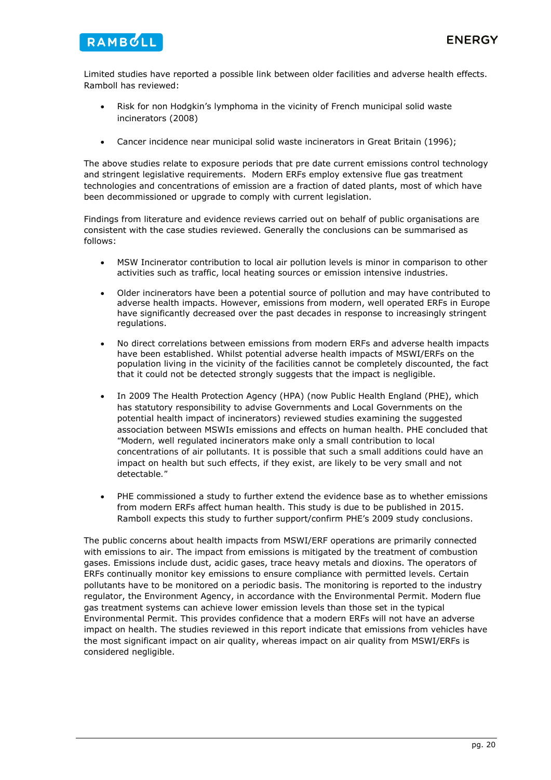

Limited studies have reported a possible link between older facilities and adverse health effects. Ramboll has reviewed:

- Risk for non Hodgkin's lymphoma in the vicinity of French municipal solid waste incinerators (2008)
- Cancer incidence near municipal solid waste incinerators in Great Britain (1996);

The above studies relate to exposure periods that pre date current emissions control technology and stringent legislative requirements. Modern ERFs employ extensive flue gas treatment technologies and concentrations of emission are a fraction of dated plants, most of which have been decommissioned or upgrade to comply with current legislation.

Findings from literature and evidence reviews carried out on behalf of public organisations are consistent with the case studies reviewed. Generally the conclusions can be summarised as follows:

- MSW Incinerator contribution to local air pollution levels is minor in comparison to other activities such as traffic, local heating sources or emission intensive industries.
- Older incinerators have been a potential source of pollution and may have contributed to adverse health impacts. However, emissions from modern, well operated ERFs in Europe have significantly decreased over the past decades in response to increasingly stringent regulations.
- No direct correlations between emissions from modern ERFs and adverse health impacts have been established. Whilst potential adverse health impacts of MSWI/ERFs on the population living in the vicinity of the facilities cannot be completely discounted, the fact that it could not be detected strongly suggests that the impact is negligible.
- In 2009 The Health Protection Agency (HPA) (now Public Health England (PHE), which has statutory responsibility to advise Governments and Local Governments on the potential health impact of incinerators) reviewed studies examining the suggested association between MSWIs emissions and effects on human health. PHE concluded that *"Modern, well regulated incinerators make only a small contribution to local concentrations of air pollutants. It is possible that such a small additions could have an impact on health but such effects, if they exist, are likely to be very small and not detectable."*
- PHE commissioned a study to further extend the evidence base as to whether emissions from modern ERFs affect human health. This study is due to be published in 2015. Ramboll expects this study to further support/confirm PHE's 2009 study conclusions.

The public concerns about health impacts from MSWI/ERF operations are primarily connected with emissions to air. The impact from emissions is mitigated by the treatment of combustion gases. Emissions include dust, acidic gases, trace heavy metals and dioxins. The operators of ERFs continually monitor key emissions to ensure compliance with permitted levels. Certain pollutants have to be monitored on a periodic basis. The monitoring is reported to the industry regulator, the Environment Agency, in accordance with the Environmental Permit. Modern flue gas treatment systems can achieve lower emission levels than those set in the typical Environmental Permit. This provides confidence that a modern ERFs will not have an adverse impact on health. The studies reviewed in this report indicate that emissions from vehicles have the most significant impact on air quality, whereas impact on air quality from MSWI/ERFs is considered negligible.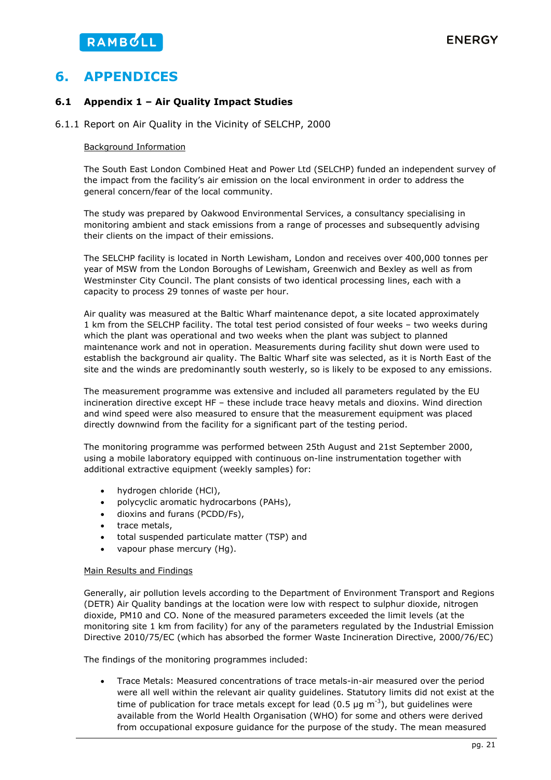# **6. APPENDICES**

### **6.1 Appendix 1 – Air Quality Impact Studies**

6.1.1 Report on Air Quality in the Vicinity of SELCHP, 2000

### Background Information

The South East London Combined Heat and Power Ltd (SELCHP) funded an independent survey of the impact from the facility's air emission on the local environment in order to address the general concern/fear of the local community.

The study was prepared by Oakwood Environmental Services, a consultancy specialising in monitoring ambient and stack emissions from a range of processes and subsequently advising their clients on the impact of their emissions.

The SELCHP facility is located in North Lewisham, London and receives over 400,000 tonnes per year of MSW from the London Boroughs of Lewisham, Greenwich and Bexley as well as from Westminster City Council. The plant consists of two identical processing lines, each with a capacity to process 29 tonnes of waste per hour.

Air quality was measured at the Baltic Wharf maintenance depot, a site located approximately 1 km from the SELCHP facility. The total test period consisted of four weeks – two weeks during which the plant was operational and two weeks when the plant was subject to planned maintenance work and not in operation. Measurements during facility shut down were used to establish the background air quality. The Baltic Wharf site was selected, as it is North East of the site and the winds are predominantly south westerly, so is likely to be exposed to any emissions.

The measurement programme was extensive and included all parameters regulated by the EU incineration directive except HF – these include trace heavy metals and dioxins. Wind direction and wind speed were also measured to ensure that the measurement equipment was placed directly downwind from the facility for a significant part of the testing period.

The monitoring programme was performed between 25th August and 21st September 2000, using a mobile laboratory equipped with continuous on-line instrumentation together with additional extractive equipment (weekly samples) for:

- hydrogen chloride (HCl),
- polycyclic aromatic hydrocarbons (PAHs),
- dioxins and furans (PCDD/Fs),
- trace metals,
- total suspended particulate matter (TSP) and
- vapour phase mercury (Hg).

### Main Results and Findings

Generally, air pollution levels according to the Department of Environment Transport and Regions (DETR) Air Quality bandings at the location were low with respect to sulphur dioxide, nitrogen dioxide, PM10 and CO. None of the measured parameters exceeded the limit levels (at the monitoring site 1 km from facility) for any of the parameters regulated by the Industrial Emission Directive 2010/75/EC (which has absorbed the former Waste Incineration Directive, 2000/76/EC)

The findings of the monitoring programmes included:

 Trace Metals: Measured concentrations of trace metals-in-air measured over the period were all well within the relevant air quality guidelines. Statutory limits did not exist at the time of publication for trace metals except for lead (0.5 µg m<sup>-3</sup>), but quidelines were available from the World Health Organisation (WHO) for some and others were derived from occupational exposure guidance for the purpose of the study. The mean measured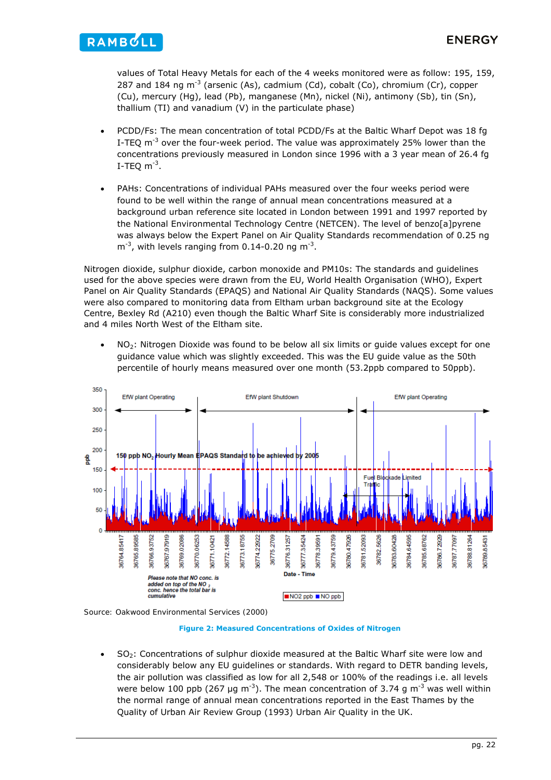

values of Total Heavy Metals for each of the 4 weeks monitored were as follow: 195, 159, 287 and 184 ng  $m^{-3}$  (arsenic (As), cadmium (Cd), cobalt (Co), chromium (Cr), copper (Cu), mercury (Hg), lead (Pb), manganese (Mn), nickel (Ni), antimony (Sb), tin (Sn), thallium (TI) and vanadium (V) in the particulate phase)

- PCDD/Fs: The mean concentration of total PCDD/Fs at the Baltic Wharf Depot was 18 fg I-TEQ  $m^{-3}$  over the four-week period. The value was approximately 25% lower than the concentrations previously measured in London since 1996 with a 3 year mean of 26.4 fg I-TEQ  $m^{-3}$ .
- PAHs: Concentrations of individual PAHs measured over the four weeks period were found to be well within the range of annual mean concentrations measured at a background urban reference site located in London between 1991 and 1997 reported by the National Environmental Technology Centre (NETCEN). The level of benzo[a]pyrene was always below the Expert Panel on Air Quality Standards recommendation of 0.25 ng  $m^{-3}$ , with levels ranging from 0.14-0.20 ng  $m^{-3}$ .

Nitrogen dioxide, sulphur dioxide, carbon monoxide and PM10s: The standards and guidelines used for the above species were drawn from the EU, World Health Organisation (WHO), Expert Panel on Air Quality Standards (EPAQS) and National Air Quality Standards (NAQS). Some values were also compared to monitoring data from Eltham urban background site at the Ecology Centre, Bexley Rd (A210) even though the Baltic Wharf Site is considerably more industrialized and 4 miles North West of the Eltham site.

 $NO<sub>2</sub>$ : Nitrogen Dioxide was found to be below all six limits or guide values except for one guidance value which was slightly exceeded. This was the EU guide value as the 50th percentile of hourly means measured over one month (53.2ppb compared to 50ppb).



*Source: Oakwood Environmental Services (2000)* 

#### **Figure 2: Measured Concentrations of Oxides of Nitrogen**

SO<sub>2</sub>: Concentrations of sulphur dioxide measured at the Baltic Wharf site were low and considerably below any EU guidelines or standards. With regard to DETR banding levels, the air pollution was classified as low for all 2,548 or 100% of the readings i.e. all levels were below 100 ppb (267 µg m<sup>-3</sup>). The mean concentration of 3.74 g m<sup>-3</sup> was well within the normal range of annual mean concentrations reported in the East Thames by the Quality of Urban Air Review Group (1993) Urban Air Quality in the UK.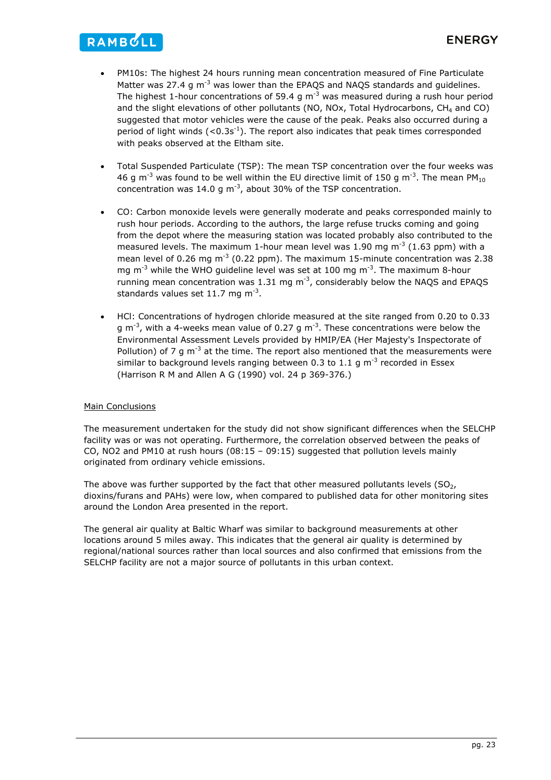# RAMBULL

- PM10s: The highest 24 hours running mean concentration measured of Fine Particulate Matter was 27.4 g  $\text{m}^{-3}$  was lower than the EPAQS and NAQS standards and guidelines. The highest 1-hour concentrations of 59.4 g  $m^{-3}$  was measured during a rush hour period and the slight elevations of other pollutants (NO, NOx, Total Hydrocarbons,  $CH<sub>4</sub>$  and CO) suggested that motor vehicles were the cause of the peak. Peaks also occurred during a period of light winds  $(< 0.3$ s<sup>-1</sup>). The report also indicates that peak times corresponded with peaks observed at the Eltham site.
- Total Suspended Particulate (TSP): The mean TSP concentration over the four weeks was 46 g m<sup>-3</sup> was found to be well within the EU directive limit of 150 g m<sup>-3</sup>. The mean PM<sub>10</sub> concentration was 14.0 g  $m^{-3}$ , about 30% of the TSP concentration.
- CO: Carbon monoxide levels were generally moderate and peaks corresponded mainly to rush hour periods. According to the authors, the large refuse trucks coming and going from the depot where the measuring station was located probably also contributed to the measured levels. The maximum 1-hour mean level was 1.90 mg  $m<sup>-3</sup>$  (1.63 ppm) with a mean level of 0.26 mg  $m^{-3}$  (0.22 ppm). The maximum 15-minute concentration was 2.38 mg  $m^{-3}$  while the WHO guideline level was set at 100 mg  $m^{-3}$ . The maximum 8-hour running mean concentration was 1.31 mg  $m<sup>-3</sup>$ , considerably below the NAQS and EPAQS standards values set 11.7 mg  $m<sup>-3</sup>$ .
- HCl: Concentrations of hydrogen chloride measured at the site ranged from 0.20 to 0.33 g  $\text{m}^{-3}$ , with a 4-weeks mean value of 0.27 g  $\text{m}^{-3}$ . These concentrations were below the Environmental Assessment Levels provided by HMIP/EA (Her Majesty's Inspectorate of Pollution) of 7 g m<sup>-3</sup> at the time. The report also mentioned that the measurements were similar to background levels ranging between 0.3 to 1.1 g  $m^{-3}$  recorded in Essex (Harrison R M and Allen A G (1990) vol. 24 p 369-376.)

### **Main Conclusions**

The measurement undertaken for the study did not show significant differences when the SELCHP facility was or was not operating. Furthermore, the correlation observed between the peaks of CO, NO2 and PM10 at rush hours  $(08:15 - 09:15)$  suggested that pollution levels mainly originated from ordinary vehicle emissions.

The above was further supported by the fact that other measured pollutants levels ( $SO<sub>2</sub>$ , dioxins/furans and PAHs) were low, when compared to published data for other monitoring sites around the London Area presented in the report.

The general air quality at Baltic Wharf was similar to background measurements at other locations around 5 miles away. This indicates that the general air quality is determined by regional/national sources rather than local sources and also confirmed that emissions from the SELCHP facility are not a major source of pollutants in this urban context.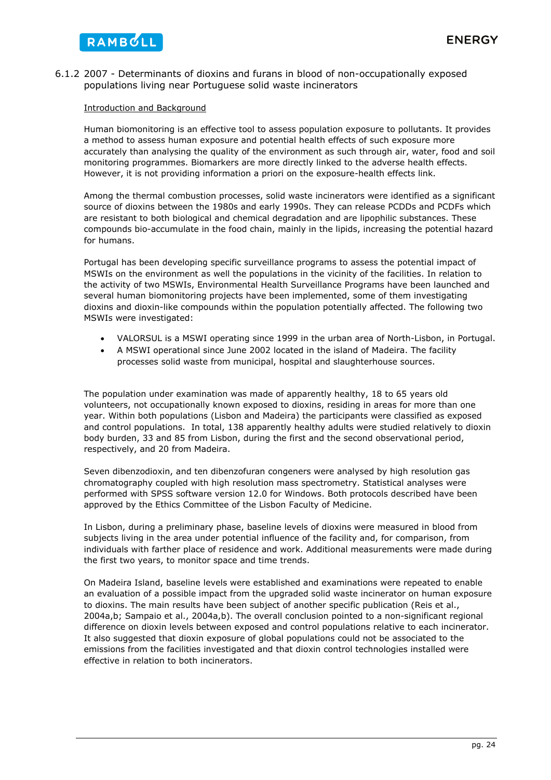6.1.2 2007 - Determinants of dioxins and furans in blood of non-occupationally exposed populations living near Portuguese solid waste incinerators

### Introduction and Background

Human biomonitoring is an effective tool to assess population exposure to pollutants. It provides a method to assess human exposure and potential health effects of such exposure more accurately than analysing the quality of the environment as such through air, water, food and soil monitoring programmes. Biomarkers are more directly linked to the adverse health effects. However, it is not providing information a priori on the exposure-health effects link.

Among the thermal combustion processes, solid waste incinerators were identified as a significant source of dioxins between the 1980s and early 1990s. They can release PCDDs and PCDFs which are resistant to both biological and chemical degradation and are lipophilic substances. These compounds bio-accumulate in the food chain, mainly in the lipids, increasing the potential hazard for humans.

Portugal has been developing specific surveillance programs to assess the potential impact of MSWIs on the environment as well the populations in the vicinity of the facilities. In relation to the activity of two MSWIs, Environmental Health Surveillance Programs have been launched and several human biomonitoring projects have been implemented, some of them investigating dioxins and dioxin-like compounds within the population potentially affected. The following two MSWIs were investigated:

- VALORSUL is a MSWI operating since 1999 in the urban area of North-Lisbon, in Portugal.
- A MSWI operational since June 2002 located in the island of Madeira. The facility processes solid waste from municipal, hospital and slaughterhouse sources.

The population under examination was made of apparently healthy, 18 to 65 years old volunteers, not occupationally known exposed to dioxins, residing in areas for more than one year. Within both populations (Lisbon and Madeira) the participants were classified as exposed and control populations. In total, 138 apparently healthy adults were studied relatively to dioxin body burden, 33 and 85 from Lisbon, during the first and the second observational period, respectively, and 20 from Madeira.

Seven dibenzodioxin, and ten dibenzofuran congeners were analysed by high resolution gas chromatography coupled with high resolution mass spectrometry. Statistical analyses were performed with SPSS software version 12.0 for Windows. Both protocols described have been approved by the Ethics Committee of the Lisbon Faculty of Medicine.

In Lisbon, during a preliminary phase, baseline levels of dioxins were measured in blood from subjects living in the area under potential influence of the facility and, for comparison, from individuals with farther place of residence and work. Additional measurements were made during the first two years, to monitor space and time trends.

On Madeira Island, baseline levels were established and examinations were repeated to enable an evaluation of a possible impact from the upgraded solid waste incinerator on human exposure to dioxins. The main results have been subject of another specific publication (Reis et al., 2004a,b; Sampaio et al., 2004a,b). The overall conclusion pointed to a non-significant regional difference on dioxin levels between exposed and control populations relative to each incinerator. It also suggested that dioxin exposure of global populations could not be associated to the emissions from the facilities investigated and that dioxin control technologies installed were effective in relation to both incinerators.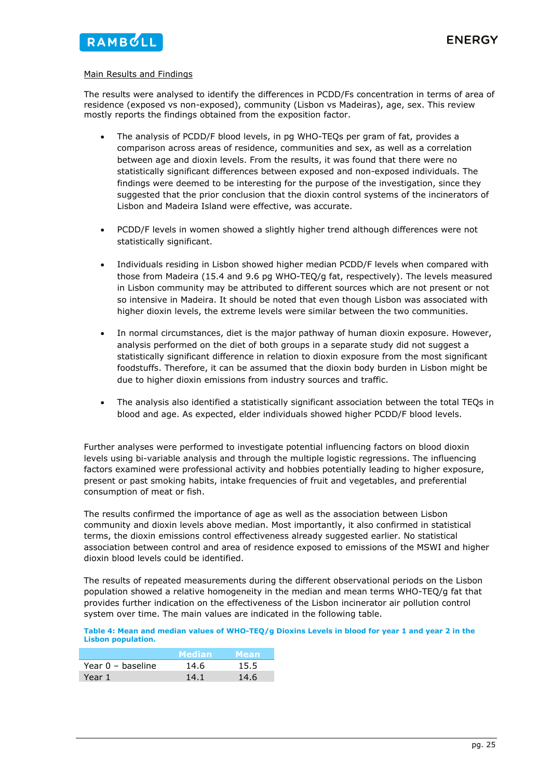### Main Results and Findings

The results were analysed to identify the differences in PCDD/Fs concentration in terms of area of residence (exposed vs non-exposed), community (Lisbon vs Madeiras), age, sex. This review mostly reports the findings obtained from the exposition factor.

- The analysis of PCDD/F blood levels, in pg WHO-TEQs per gram of fat, provides a comparison across areas of residence, communities and sex, as well as a correlation between age and dioxin levels. From the results, it was found that there were no statistically significant differences between exposed and non-exposed individuals. The findings were deemed to be interesting for the purpose of the investigation, since they suggested that the prior conclusion that the dioxin control systems of the incinerators of Lisbon and Madeira Island were effective, was accurate.
- PCDD/F levels in women showed a slightly higher trend although differences were not statistically significant.
- Individuals residing in Lisbon showed higher median PCDD/F levels when compared with those from Madeira (15.4 and 9.6 pg WHO-TEQ/g fat, respectively). The levels measured in Lisbon community may be attributed to different sources which are not present or not so intensive in Madeira. It should be noted that even though Lisbon was associated with higher dioxin levels, the extreme levels were similar between the two communities.
- In normal circumstances, diet is the major pathway of human dioxin exposure. However, analysis performed on the diet of both groups in a separate study did not suggest a statistically significant difference in relation to dioxin exposure from the most significant foodstuffs. Therefore, it can be assumed that the dioxin body burden in Lisbon might be due to higher dioxin emissions from industry sources and traffic.
- The analysis also identified a statistically significant association between the total TEQs in blood and age. As expected, elder individuals showed higher PCDD/F blood levels.

Further analyses were performed to investigate potential influencing factors on blood dioxin levels using bi-variable analysis and through the multiple logistic regressions. The influencing factors examined were professional activity and hobbies potentially leading to higher exposure, present or past smoking habits, intake frequencies of fruit and vegetables, and preferential consumption of meat or fish.

The results confirmed the importance of age as well as the association between Lisbon community and dioxin levels above median. Most importantly, it also confirmed in statistical terms, the dioxin emissions control effectiveness already suggested earlier. No statistical association between control and area of residence exposed to emissions of the MSWI and higher dioxin blood levels could be identified.

The results of repeated measurements during the different observational periods on the Lisbon population showed a relative homogeneity in the median and mean terms WHO-TEQ/g fat that provides further indication on the effectiveness of the Lisbon incinerator air pollution control system over time. The main values are indicated in the following table.

#### **Table 4: Mean and median values of WHO-TEQ/g Dioxins Levels in blood for year 1 and year 2 in the Lisbon population.**

|                   | <b>Median</b> | Mean |
|-------------------|---------------|------|
| Year 0 - baseline | 14.6          | 15.5 |
| Year 1            | 14.1          | 14.6 |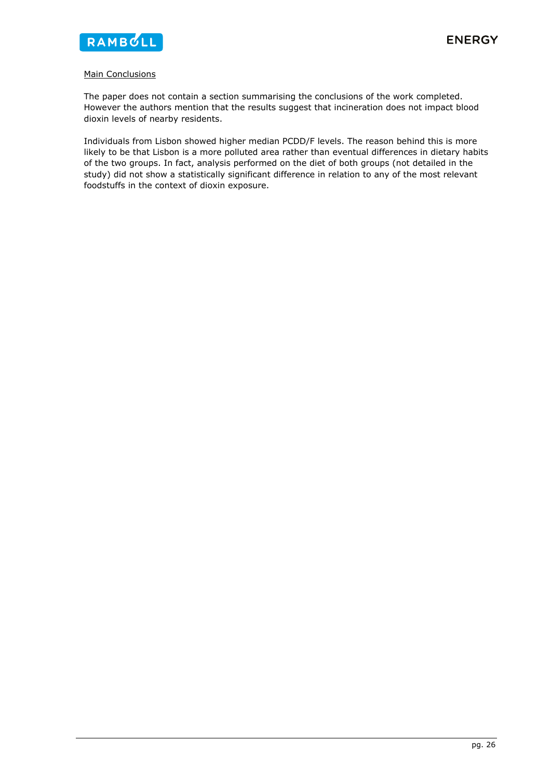

### **Main Conclusions**

The paper does not contain a section summarising the conclusions of the work completed. However the authors mention that the results suggest that incineration does not impact blood dioxin levels of nearby residents.

Individuals from Lisbon showed higher median PCDD/F levels. The reason behind this is more likely to be that Lisbon is a more polluted area rather than eventual differences in dietary habits of the two groups. In fact, analysis performed on the diet of both groups (not detailed in the study) did not show a statistically significant difference in relation to any of the most relevant foodstuffs in the context of dioxin exposure.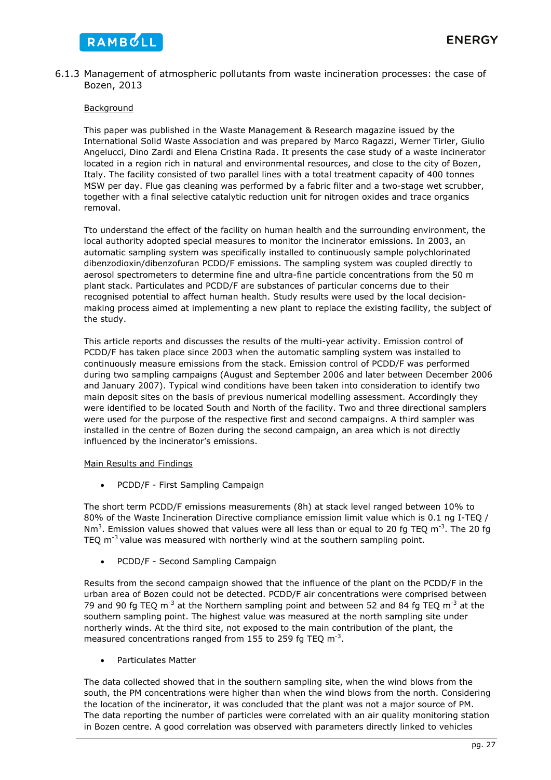

### 6.1.3 Management of atmospheric pollutants from waste incineration processes: the case of Bozen, 2013

### Background

This paper was published in the Waste Management & Research magazine issued by the International Solid Waste Association and was prepared by Marco Ragazzi, Werner Tirler, Giulio Angelucci, Dino Zardi and Elena Cristina Rada. It presents the case study of a waste incinerator located in a region rich in natural and environmental resources, and close to the city of Bozen, Italy. The facility consisted of two parallel lines with a total treatment capacity of 400 tonnes MSW per day. Flue gas cleaning was performed by a fabric filter and a two-stage wet scrubber, together with a final selective catalytic reduction unit for nitrogen oxides and trace organics removal.

Tto understand the effect of the facility on human health and the surrounding environment, the local authority adopted special measures to monitor the incinerator emissions. In 2003, an automatic sampling system was specifically installed to continuously sample polychlorinated dibenzodioxin/dibenzofuran PCDD/F emissions. The sampling system was coupled directly to aerosol spectrometers to determine fine and ultra-fine particle concentrations from the 50 m plant stack. Particulates and PCDD/F are substances of particular concerns due to their recognised potential to affect human health. Study results were used by the local decisionmaking process aimed at implementing a new plant to replace the existing facility, the subject of the study.

This article reports and discusses the results of the multi-year activity. Emission control of PCDD/F has taken place since 2003 when the automatic sampling system was installed to continuously measure emissions from the stack. Emission control of PCDD/F was performed during two sampling campaigns (August and September 2006 and later between December 2006 and January 2007). Typical wind conditions have been taken into consideration to identify two main deposit sites on the basis of previous numerical modelling assessment. Accordingly they were identified to be located South and North of the facility. Two and three directional samplers were used for the purpose of the respective first and second campaigns. A third sampler was installed in the centre of Bozen during the second campaign, an area which is not directly influenced by the incinerator's emissions.

### Main Results and Findings

• PCDD/F - First Sampling Campaign

The short term PCDD/F emissions measurements (8h) at stack level ranged between 10% to 80% of the Waste Incineration Directive compliance emission limit value which is 0.1 ng I-TEQ / Nm<sup>3</sup>. Emission values showed that values were all less than or equal to 20 fg TEQ m<sup>-3</sup>. The 20 fg TEQ  $m^{-3}$  value was measured with northerly wind at the southern sampling point.

• PCDD/F - Second Sampling Campaign

Results from the second campaign showed that the influence of the plant on the PCDD/F in the urban area of Bozen could not be detected. PCDD/F air concentrations were comprised between 79 and 90 fg TEQ  $m^{-3}$  at the Northern sampling point and between 52 and 84 fg TEQ  $m^{-3}$  at the southern sampling point. The highest value was measured at the north sampling site under northerly winds. At the third site, not exposed to the main contribution of the plant, the measured concentrations ranged from 155 to 259 fg TEQ  $m^{-3}$ .

Particulates Matter

The data collected showed that in the southern sampling site, when the wind blows from the south, the PM concentrations were higher than when the wind blows from the north. Considering the location of the incinerator, it was concluded that the plant was not a major source of PM. The data reporting the number of particles were correlated with an air quality monitoring station in Bozen centre. A good correlation was observed with parameters directly linked to vehicles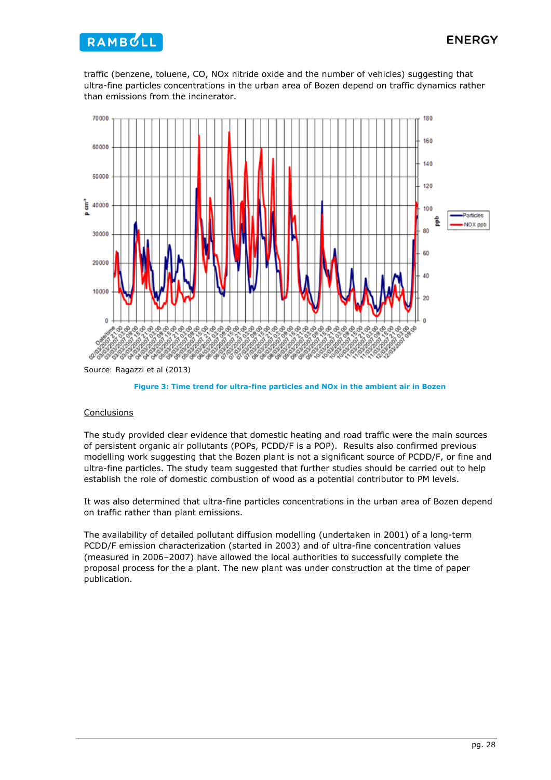

traffic (benzene, toluene, CO, NOx nitride oxide and the number of vehicles) suggesting that ultra-fine particles concentrations in the urban area of Bozen depend on traffic dynamics rather than emissions from the incinerator.



*Source: Ragazzi et al (2013)* 



### **Conclusions**

The study provided clear evidence that domestic heating and road traffic were the main sources of persistent organic air pollutants (POPs, PCDD/F is a POP). Results also confirmed previous modelling work suggesting that the Bozen plant is not a significant source of PCDD/F, or fine and ultra-fine particles. The study team suggested that further studies should be carried out to help establish the role of domestic combustion of wood as a potential contributor to PM levels.

It was also determined that ultra-fine particles concentrations in the urban area of Bozen depend on traffic rather than plant emissions.

The availability of detailed pollutant diffusion modelling (undertaken in 2001) of a long-term PCDD/F emission characterization (started in 2003) and of ultra-fine concentration values (measured in 2006–2007) have allowed the local authorities to successfully complete the proposal process for the a plant. The new plant was under construction at the time of paper publication.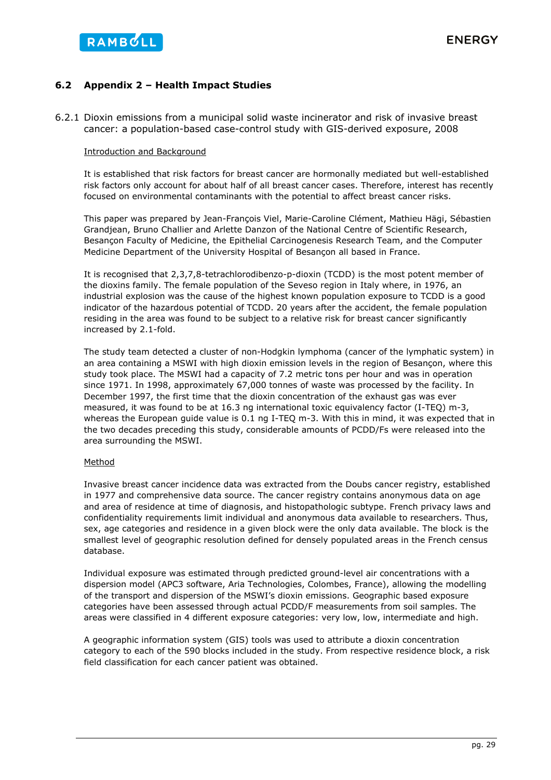

### **6.2 Appendix 2 – Health Impact Studies**

6.2.1 Dioxin emissions from a municipal solid waste incinerator and risk of invasive breast cancer: a population-based case-control study with GIS-derived exposure, 2008

### Introduction and Background

It is established that risk factors for breast cancer are hormonally mediated but well-established risk factors only account for about half of all breast cancer cases. Therefore, interest has recently focused on environmental contaminants with the potential to affect breast cancer risks.

This paper was prepared by Jean-François Viel, Marie-Caroline Clément, Mathieu Hägi, Sébastien Grandjean, Bruno Challier and Arlette Danzon of the National Centre of Scientific Research, Besançon Faculty of Medicine, the Epithelial Carcinogenesis Research Team, and the Computer Medicine Department of the University Hospital of Besançon all based in France.

It is recognised that 2,3,7,8-tetrachlorodibenzo-p-dioxin (TCDD) is the most potent member of the dioxins family. The female population of the Seveso region in Italy where, in 1976, an industrial explosion was the cause of the highest known population exposure to TCDD is a good indicator of the hazardous potential of TCDD. 20 years after the accident, the female population residing in the area was found to be subject to a relative risk for breast cancer significantly increased by 2.1-fold.

The study team detected a cluster of non-Hodgkin lymphoma (cancer of the lymphatic system) in an area containing a MSWI with high dioxin emission levels in the region of Besançon, where this study took place. The MSWI had a capacity of 7.2 metric tons per hour and was in operation since 1971. In 1998, approximately 67,000 tonnes of waste was processed by the facility. In December 1997, the first time that the dioxin concentration of the exhaust gas was ever measured, it was found to be at 16.3 ng international toxic equivalency factor (I-TEQ) m-3, whereas the European guide value is 0.1 ng I-TEQ m-3. With this in mind, it was expected that in the two decades preceding this study, considerable amounts of PCDD/Fs were released into the area surrounding the MSWI.

### Method

Invasive breast cancer incidence data was extracted from the Doubs cancer registry, established in 1977 and comprehensive data source. The cancer registry contains anonymous data on age and area of residence at time of diagnosis, and histopathologic subtype. French privacy laws and confidentiality requirements limit individual and anonymous data available to researchers. Thus, sex, age categories and residence in a given block were the only data available. The block is the smallest level of geographic resolution defined for densely populated areas in the French census database.

Individual exposure was estimated through predicted ground-level air concentrations with a dispersion model (APC3 software, Aria Technologies, Colombes, France), allowing the modelling of the transport and dispersion of the MSWI's dioxin emissions. Geographic based exposure categories have been assessed through actual PCDD/F measurements from soil samples. The areas were classified in 4 different exposure categories: very low, low, intermediate and high.

A geographic information system (GIS) tools was used to attribute a dioxin concentration category to each of the 590 blocks included in the study. From respective residence block, a risk field classification for each cancer patient was obtained.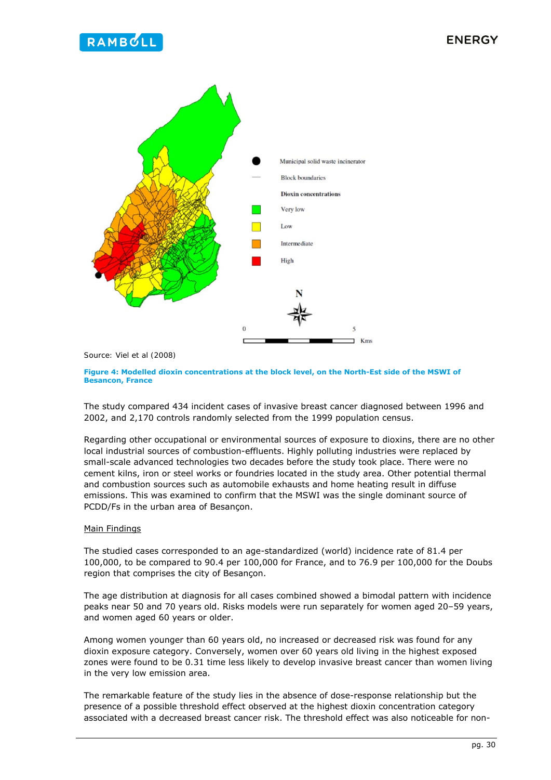



*Source: Viel et al (2008)* 

**Figure 4: Modelled dioxin concentrations at the block level, on the North-Est side of the MSWI of Besancon, France** 

The study compared 434 incident cases of invasive breast cancer diagnosed between 1996 and 2002, and 2,170 controls randomly selected from the 1999 population census.

Regarding other occupational or environmental sources of exposure to dioxins, there are no other local industrial sources of combustion-effluents. Highly polluting industries were replaced by small-scale advanced technologies two decades before the study took place. There were no cement kilns, iron or steel works or foundries located in the study area. Other potential thermal and combustion sources such as automobile exhausts and home heating result in diffuse emissions. This was examined to confirm that the MSWI was the single dominant source of PCDD/Fs in the urban area of Besançon.

### Main Findings

The studied cases corresponded to an age-standardized (world) incidence rate of 81.4 per 100,000, to be compared to 90.4 per 100,000 for France, and to 76.9 per 100,000 for the Doubs region that comprises the city of Besançon.

The age distribution at diagnosis for all cases combined showed a bimodal pattern with incidence peaks near 50 and 70 years old. Risks models were run separately for women aged 20–59 years, and women aged 60 years or older.

Among women younger than 60 years old, no increased or decreased risk was found for any dioxin exposure category. Conversely, women over 60 years old living in the highest exposed zones were found to be 0.31 time less likely to develop invasive breast cancer than women living in the very low emission area.

The remarkable feature of the study lies in the absence of dose-response relationship but the presence of a possible threshold effect observed at the highest dioxin concentration category associated with a decreased breast cancer risk. The threshold effect was also noticeable for non-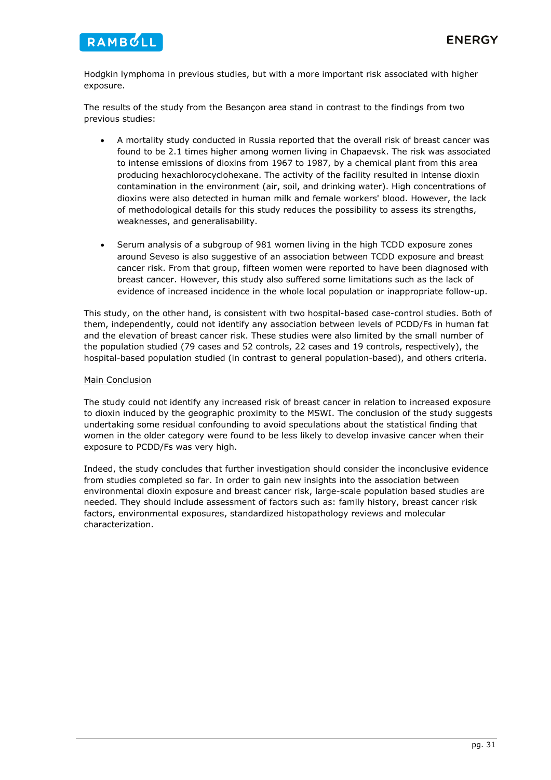

Hodgkin lymphoma in previous studies, but with a more important risk associated with higher exposure.

The results of the study from the Besançon area stand in contrast to the findings from two previous studies:

- A mortality study conducted in Russia reported that the overall risk of breast cancer was found to be 2.1 times higher among women living in Chapaevsk. The risk was associated to intense emissions of dioxins from 1967 to 1987, by a chemical plant from this area producing hexachlorocyclohexane. The activity of the facility resulted in intense dioxin contamination in the environment (air, soil, and drinking water). High concentrations of dioxins were also detected in human milk and female workers' blood. However, the lack of methodological details for this study reduces the possibility to assess its strengths, weaknesses, and generalisability.
- Serum analysis of a subgroup of 981 women living in the high TCDD exposure zones around Seveso is also suggestive of an association between TCDD exposure and breast cancer risk. From that group, fifteen women were reported to have been diagnosed with breast cancer. However, this study also suffered some limitations such as the lack of evidence of increased incidence in the whole local population or inappropriate follow-up.

This study, on the other hand, is consistent with two hospital-based case-control studies. Both of them, independently, could not identify any association between levels of PCDD/Fs in human fat and the elevation of breast cancer risk. These studies were also limited by the small number of the population studied (79 cases and 52 controls, 22 cases and 19 controls, respectively), the hospital-based population studied (in contrast to general population-based), and others criteria.

### Main Conclusion

The study could not identify any increased risk of breast cancer in relation to increased exposure to dioxin induced by the geographic proximity to the MSWI. The conclusion of the study suggests undertaking some residual confounding to avoid speculations about the statistical finding that women in the older category were found to be less likely to develop invasive cancer when their exposure to PCDD/Fs was very high.

Indeed, the study concludes that further investigation should consider the inconclusive evidence from studies completed so far. In order to gain new insights into the association between environmental dioxin exposure and breast cancer risk, large-scale population based studies are needed. They should include assessment of factors such as: family history, breast cancer risk factors, environmental exposures, standardized histopathology reviews and molecular characterization.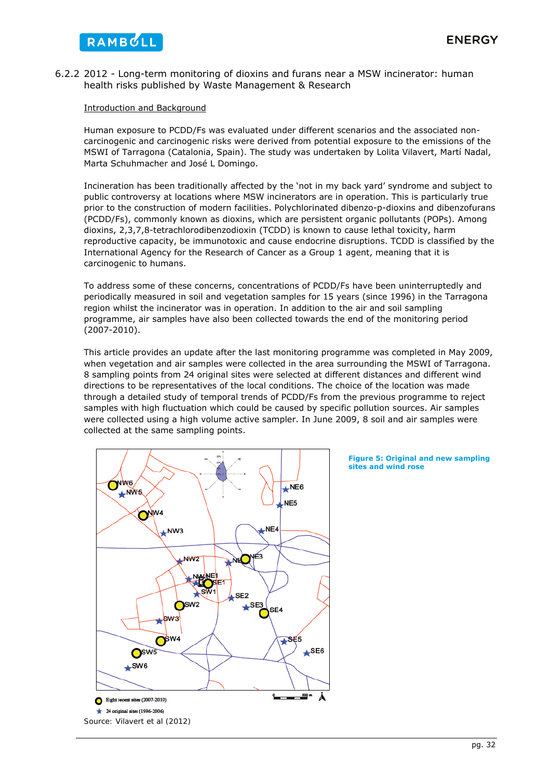

### 6.2.2 2012 - Long-term monitoring of dioxins and furans near a MSW incinerator: human health risks published by Waste Management & Research

### Introduction and Background

Human exposure to PCDD/Fs was evaluated under different scenarios and the associated noncarcinogenic and carcinogenic risks were derived from potential exposure to the emissions of the MSWI of Tarragona (Catalonia, Spain). The study was undertaken by Lolita Vilavert, Martí Nadal, Marta Schuhmacher and José L Domingo.

Incineration has been traditionally affected by the 'not in my back yard' syndrome and subject to public controversy at locations where MSW incinerators are in operation. This is particularly true prior to the construction of modern facilities. Polychlorinated dibenzo-p-dioxins and dibenzofurans (PCDD/Fs), commonly known as dioxins, which are persistent organic pollutants (POPs). Among dioxins, 2,3,7,8-tetrachlorodibenzodioxin (TCDD) is known to cause lethal toxicity, harm reproductive capacity, be immunotoxic and cause endocrine disruptions. TCDD is classified by the International Agency for the Research of Cancer as a Group 1 agent, meaning that it is carcinogenic to humans.

To address some of these concerns, concentrations of PCDD/Fs have been uninterruptedly and periodically measured in soil and vegetation samples for 15 years (since 1996) in the Tarragona region whilst the incinerator was in operation. In addition to the air and soil sampling programme, air samples have also been collected towards the end of the monitoring period (2007-2010).

This article provides an update after the last monitoring programme was completed in May 2009, when vegetation and air samples were collected in the area surrounding the MSWI of Tarragona. 8 sampling points from 24 original sites were selected at different distances and different wind directions to be representatives of the local conditions. The choice of the location was made through a detailed study of temporal trends of PCDD/Fs from the previous programme to reject samples with high fluctuation which could be caused by specific pollution sources. Air samples were collected using a high volume active sampler. In June 2009, 8 soil and air samples were collected at the same sampling points.



#### **Figure 5: Original and new sampling sites and wind rose**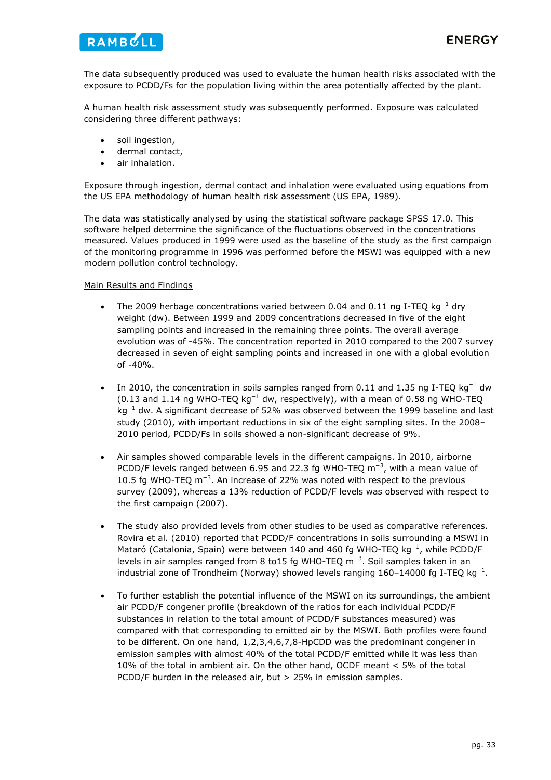![](_page_33_Picture_0.jpeg)

The data subsequently produced was used to evaluate the human health risks associated with the exposure to PCDD/Fs for the population living within the area potentially affected by the plant.

A human health risk assessment study was subsequently performed. Exposure was calculated considering three different pathways:

- soil ingestion,
- dermal contact,
- air inhalation.

Exposure through ingestion, dermal contact and inhalation were evaluated using equations from the US EPA methodology of human health risk assessment (US EPA, 1989).

The data was statistically analysed by using the statistical software package SPSS 17.0. This software helped determine the significance of the fluctuations observed in the concentrations measured. Values produced in 1999 were used as the baseline of the study as the first campaign of the monitoring programme in 1996 was performed before the MSWI was equipped with a new modern pollution control technology.

### Main Results and Findings

- The 2009 herbage concentrations varied between 0.04 and 0.11 ng I-TEQ kg<sup>-1</sup> dry weight (dw). Between 1999 and 2009 concentrations decreased in five of the eight sampling points and increased in the remaining three points. The overall average evolution was of -45%. The concentration reported in 2010 compared to the 2007 survey decreased in seven of eight sampling points and increased in one with a global evolution of -40%.
- In 2010, the concentration in soils samples ranged from 0.11 and 1.35 ng I-TEQ kg<sup>-1</sup> dw (0.13 and 1.14 ng WHO-TEQ kg<sup>-1</sup> dw, respectively), with a mean of 0.58 ng WHO-TEQ  $kg^{-1}$  dw. A significant decrease of 52% was observed between the 1999 baseline and last study (2010), with important reductions in six of the eight sampling sites. In the 2008– 2010 period, PCDD/Fs in soils showed a non-significant decrease of 9%.
- Air samples showed comparable levels in the different campaigns. In 2010, airborne PCDD/F levels ranged between 6.95 and 22.3 fg WHO-TEQ  $m^{-3}$ , with a mean value of 10.5 fg WHO-TEQ m<sup>-3</sup>. An increase of 22% was noted with respect to the previous survey (2009), whereas a 13% reduction of PCDD/F levels was observed with respect to the first campaign (2007).
- The study also provided levels from other studies to be used as comparative references. Rovira et al. (2010) reported that PCDD/F concentrations in soils surrounding a MSWI in Mataró (Catalonia, Spain) were between 140 and 460 fg WHO-TEQ kg<sup>-1</sup>, while PCDD/F levels in air samples ranged from 8 to15 fg WHO-TEQ  $m^{-3}$ . Soil samples taken in an industrial zone of Trondheim (Norway) showed levels ranging  $160-14000$  fg I-TEQ kg<sup>-1</sup>.
- To further establish the potential influence of the MSWI on its surroundings, the ambient air PCDD/F congener profile (breakdown of the ratios for each individual PCDD/F substances in relation to the total amount of PCDD/F substances measured) was compared with that corresponding to emitted air by the MSWI. Both profiles were found to be different. On one hand, 1,2,3,4,6,7,8-HpCDD was the predominant congener in emission samples with almost 40% of the total PCDD/F emitted while it was less than 10% of the total in ambient air. On the other hand, OCDF meant < 5% of the total PCDD/F burden in the released air, but > 25% in emission samples.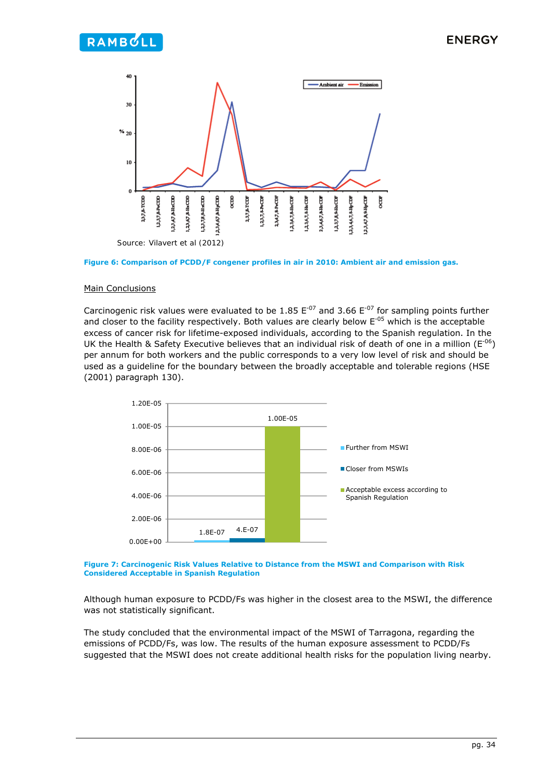![](_page_34_Figure_2.jpeg)

![](_page_34_Figure_3.jpeg)

### Main Conclusions

Carcinogenic risk values were evaluated to be 1.85  $E^{-07}$  and 3.66  $E^{-07}$  for sampling points further and closer to the facility respectively. Both values are clearly below  $E^{-0.5}$  which is the acceptable excess of cancer risk for lifetime-exposed individuals, according to the Spanish regulation. In the UK the Health & Safety Executive believes that an individual risk of death of one in a million ( $E^{-06}$ ) per annum for both workers and the public corresponds to a very low level of risk and should be used as a guideline for the boundary between the broadly acceptable and tolerable regions (HSE (2001) paragraph 130).

![](_page_34_Figure_6.jpeg)

#### **Figure 7: Carcinogenic Risk Values Relative to Distance from the MSWI and Comparison with Risk Considered Acceptable in Spanish Regulation**

Although human exposure to PCDD/Fs was higher in the closest area to the MSWI, the difference was not statistically significant.

The study concluded that the environmental impact of the MSWI of Tarragona, regarding the emissions of PCDD/Fs, was low. The results of the human exposure assessment to PCDD/Fs suggested that the MSWI does not create additional health risks for the population living nearby.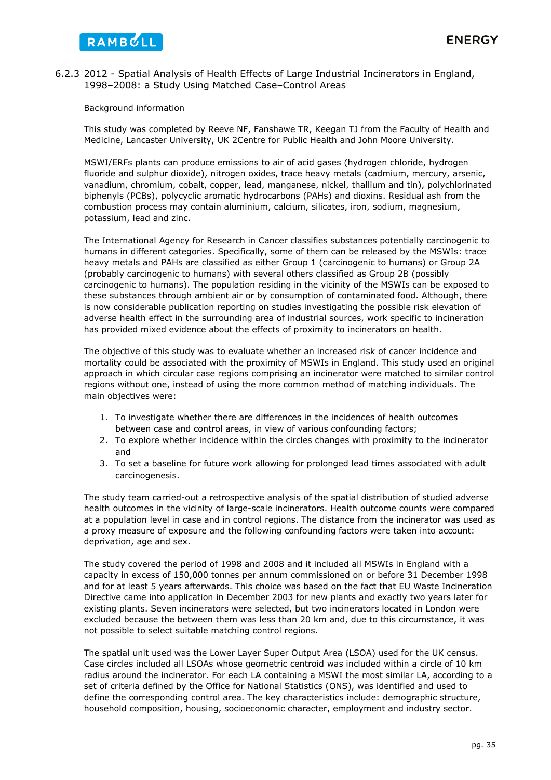### 6.2.3 2012 - Spatial Analysis of Health Effects of Large Industrial Incinerators in England, 1998–2008: a Study Using Matched Case–Control Areas

### Background information

This study was completed by Reeve NF, Fanshawe TR, Keegan TJ from the Faculty of Health and Medicine, Lancaster University, UK 2Centre for Public Health and John Moore University.

MSWI/ERFs plants can produce emissions to air of acid gases (hydrogen chloride, hydrogen fluoride and sulphur dioxide), nitrogen oxides, trace heavy metals (cadmium, mercury, arsenic, vanadium, chromium, cobalt, copper, lead, manganese, nickel, thallium and tin), polychlorinated biphenyls (PCBs), polycyclic aromatic hydrocarbons (PAHs) and dioxins. Residual ash from the combustion process may contain aluminium, calcium, silicates, iron, sodium, magnesium, potassium, lead and zinc.

The International Agency for Research in Cancer classifies substances potentially carcinogenic to humans in different categories. Specifically, some of them can be released by the MSWIs: trace heavy metals and PAHs are classified as either Group 1 (carcinogenic to humans) or Group 2A (probably carcinogenic to humans) with several others classified as Group 2B (possibly carcinogenic to humans). The population residing in the vicinity of the MSWIs can be exposed to these substances through ambient air or by consumption of contaminated food. Although, there is now considerable publication reporting on studies investigating the possible risk elevation of adverse health effect in the surrounding area of industrial sources, work specific to incineration has provided mixed evidence about the effects of proximity to incinerators on health.

The objective of this study was to evaluate whether an increased risk of cancer incidence and mortality could be associated with the proximity of MSWIs in England. This study used an original approach in which circular case regions comprising an incinerator were matched to similar control regions without one, instead of using the more common method of matching individuals. The main objectives were:

- 1. To investigate whether there are differences in the incidences of health outcomes between case and control areas, in view of various confounding factors;
- 2. To explore whether incidence within the circles changes with proximity to the incinerator and
- 3. To set a baseline for future work allowing for prolonged lead times associated with adult carcinogenesis.

The study team carried-out a retrospective analysis of the spatial distribution of studied adverse health outcomes in the vicinity of large-scale incinerators. Health outcome counts were compared at a population level in case and in control regions. The distance from the incinerator was used as a proxy measure of exposure and the following confounding factors were taken into account: deprivation, age and sex.

The study covered the period of 1998 and 2008 and it included all MSWIs in England with a capacity in excess of 150,000 tonnes per annum commissioned on or before 31 December 1998 and for at least 5 years afterwards. This choice was based on the fact that EU Waste Incineration Directive came into application in December 2003 for new plants and exactly two years later for existing plants. Seven incinerators were selected, but two incinerators located in London were excluded because the between them was less than 20 km and, due to this circumstance, it was not possible to select suitable matching control regions.

The spatial unit used was the Lower Layer Super Output Area (LSOA) used for the UK census. Case circles included all LSOAs whose geometric centroid was included within a circle of 10 km radius around the incinerator. For each LA containing a MSWI the most similar LA, according to a set of criteria defined by the Office for National Statistics (ONS), was identified and used to define the corresponding control area. The key characteristics include: demographic structure, household composition, housing, socioeconomic character, employment and industry sector.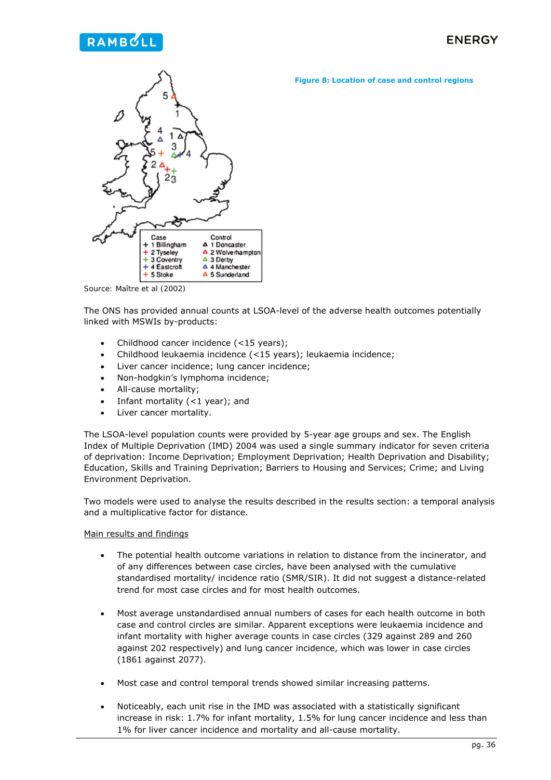### **Figure 8: Location of case and control regions**

![](_page_36_Figure_3.jpeg)

*Source: Maître et al (2002)*

The ONS has provided annual counts at LSOA-level of the adverse health outcomes potentially linked with MSWIs by-products:

- Childhood cancer incidence (<15 years);
- Childhood leukaemia incidence (<15 years); leukaemia incidence;
- Liver cancer incidence; lung cancer incidence;
- Non-hodgkin's lymphoma incidence;
- All-cause mortality;
- Infant mortality  $(<1$  year); and
- Liver cancer mortality.

The LSOA-level population counts were provided by 5-year age groups and sex. The English Index of Multiple Deprivation (IMD) 2004 was used a single summary indicator for seven criteria of deprivation: Income Deprivation; Employment Deprivation; Health Deprivation and Disability; Education, Skills and Training Deprivation; Barriers to Housing and Services; Crime; and Living Environment Deprivation.

Two models were used to analyse the results described in the results section: a temporal analysis and a multiplicative factor for distance.

### Main results and findings

- The potential health outcome variations in relation to distance from the incinerator, and of any differences between case circles, have been analysed with the cumulative standardised mortality/ incidence ratio (SMR/SIR). It did not suggest a distance-related trend for most case circles and for most health outcomes.
- Most average unstandardised annual numbers of cases for each health outcome in both case and control circles are similar. Apparent exceptions were leukaemia incidence and infant mortality with higher average counts in case circles (329 against 289 and 260 against 202 respectively) and lung cancer incidence, which was lower in case circles (1861 against 2077).
- Most case and control temporal trends showed similar increasing patterns.
- Noticeably, each unit rise in the IMD was associated with a statistically significant increase in risk: 1.7% for infant mortality, 1.5% for lung cancer incidence and less than 1% for liver cancer incidence and mortality and all-cause mortality.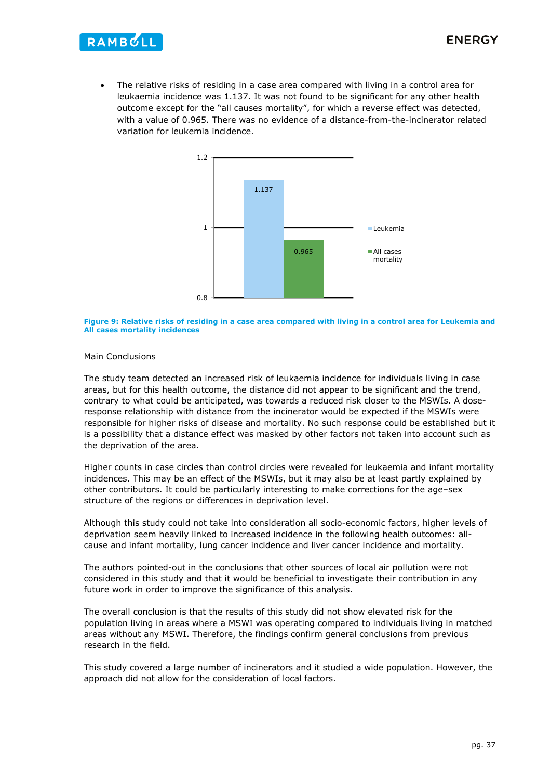![](_page_37_Picture_1.jpeg)

 The relative risks of residing in a case area compared with living in a control area for leukaemia incidence was 1.137. It was not found to be significant for any other health outcome except for the "all causes mortality", for which a reverse effect was detected, with a value of 0.965. There was no evidence of a distance-from-the-incinerator related variation for leukemia incidence.

![](_page_37_Figure_3.jpeg)

#### **Figure 9: Relative risks of residing in a case area compared with living in a control area for Leukemia and All cases mortality incidences**

### Main Conclusions

The study team detected an increased risk of leukaemia incidence for individuals living in case areas, but for this health outcome, the distance did not appear to be significant and the trend, contrary to what could be anticipated, was towards a reduced risk closer to the MSWIs. A doseresponse relationship with distance from the incinerator would be expected if the MSWIs were responsible for higher risks of disease and mortality. No such response could be established but it is a possibility that a distance effect was masked by other factors not taken into account such as the deprivation of the area.

Higher counts in case circles than control circles were revealed for leukaemia and infant mortality incidences. This may be an effect of the MSWIs, but it may also be at least partly explained by other contributors. It could be particularly interesting to make corrections for the age–sex structure of the regions or differences in deprivation level.

Although this study could not take into consideration all socio-economic factors, higher levels of deprivation seem heavily linked to increased incidence in the following health outcomes: allcause and infant mortality, lung cancer incidence and liver cancer incidence and mortality.

The authors pointed-out in the conclusions that other sources of local air pollution were not considered in this study and that it would be beneficial to investigate their contribution in any future work in order to improve the significance of this analysis.

The overall conclusion is that the results of this study did not show elevated risk for the population living in areas where a MSWI was operating compared to individuals living in matched areas without any MSWI. Therefore, the findings confirm general conclusions from previous research in the field.

This study covered a large number of incinerators and it studied a wide population. However, the approach did not allow for the consideration of local factors.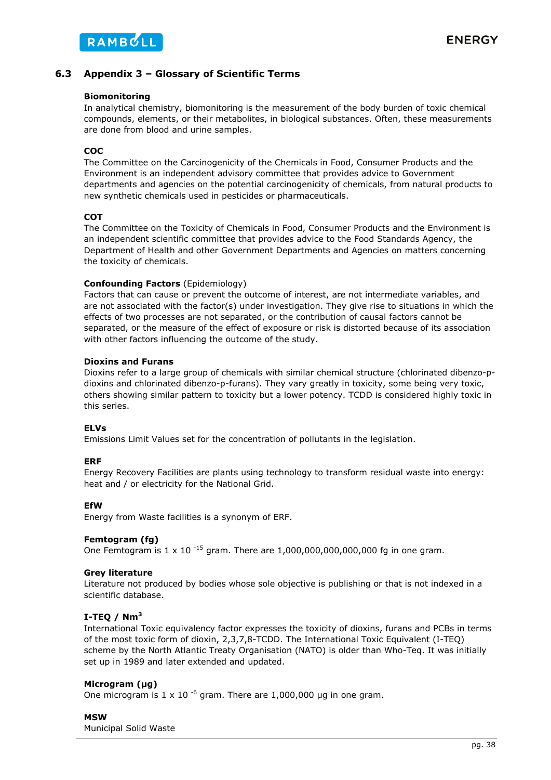### **6.3 Appendix 3 – Glossary of Scientific Terms**

### **Biomonitoring**

In analytical chemistry, biomonitoring is the measurement of the body burden of toxic chemical compounds, elements, or their metabolites, in biological substances. Often, these measurements are done from blood and urine samples.

### **COC**

The Committee on the Carcinogenicity of the Chemicals in Food, Consumer Products and the Environment is an independent advisory committee that provides advice to Government departments and agencies on the potential carcinogenicity of chemicals, from natural products to new synthetic chemicals used in pesticides or pharmaceuticals.

### **COT**

The Committee on the Toxicity of Chemicals in Food, Consumer Products and the Environment is an independent scientific committee that provides advice to the Food Standards Agency, the Department of Health and other Government Departments and Agencies on matters concerning the toxicity of chemicals.

### **Confounding Factors** (Epidemiology)

Factors that can cause or prevent the outcome of interest, are not intermediate variables, and are not associated with the factor(s) under investigation. They give rise to situations in which the effects of two processes are not separated, or the contribution of causal factors cannot be separated, or the measure of the effect of exposure or risk is distorted because of its association with other factors influencing the outcome of the study.

### **Dioxins and Furans**

Dioxins refer to a large group of chemicals with similar chemical structure (chlorinated dibenzo-pdioxins and chlorinated dibenzo-p-furans). They vary greatly in toxicity, some being very toxic, others showing similar pattern to toxicity but a lower potency. TCDD is considered highly toxic in this series.

### **ELVs**

Emissions Limit Values set for the concentration of pollutants in the legislation.

### **ERF**

Energy Recovery Facilities are plants using technology to transform residual waste into energy: heat and / or electricity for the National Grid.

### **EfW**

Energy from Waste facilities is a synonym of ERF.

### **Femtogram (fg)**

One Femtogram is  $1 \times 10^{-15}$  gram. There are  $1,000,000,000,000,000$  fg in one gram.

### **Grey literature**

Literature not produced by bodies whose sole objective is publishing or that is not indexed in a scientific database.

### **I-TEQ / Nm<sup>3</sup>**

International Toxic equivalency factor expresses the toxicity of dioxins, furans and PCBs in terms of the most toxic form of dioxin, 2,3,7,8-TCDD. The International Toxic Equivalent (I-TEQ) scheme by the North Atlantic Treaty Organisation (NATO) is older than Who-Teq. It was initially set up in 1989 and later extended and updated.

### **Microgram (µg)**

One microgram is 1 x 10<sup>-6</sup> gram. There are 1,000,000 µg in one gram.

### **MSW**

Municipal Solid Waste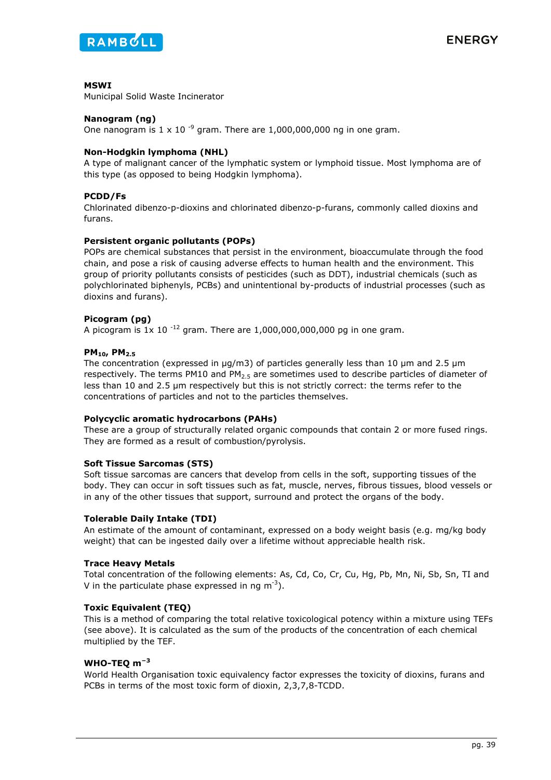![](_page_39_Picture_0.jpeg)

### **MSWI**

Municipal Solid Waste Incinerator

### **Nanogram (ng)**

One nanogram is  $1 \times 10^{-9}$  gram. There are 1,000,000,000 ng in one gram.

### **Non-Hodgkin lymphoma (NHL)**

A type of malignant cancer of the lymphatic system or lymphoid tissue. Most lymphoma are of this type (as opposed to being Hodgkin lymphoma).

### **PCDD/Fs**

Chlorinated dibenzo-p-dioxins and chlorinated dibenzo-p-furans, commonly called dioxins and furans.

### **Persistent organic pollutants (POPs)**

POPs are chemical substances that persist in the environment, bioaccumulate through the food chain, and pose a risk of causing adverse effects to human health and the environment. This group of priority pollutants consists of pesticides (such as DDT), industrial chemicals (such as polychlorinated biphenyls, PCBs) and unintentional by-products of industrial processes (such as dioxins and furans).

### **Picogram (pg)**

A picogram is  $1x$  10<sup>-12</sup> gram. There are 1,000,000,000,000 pg in one gram.

### **PM10, PM2.5**

The concentration (expressed in  $\mu q/m3$ ) of particles generally less than 10  $\mu$ m and 2.5  $\mu$ m respectively. The terms PM10 and PM $_{2.5}$  are sometimes used to describe particles of diameter of less than 10 and 2.5 µm respectively but this is not strictly correct: the terms refer to the concentrations of particles and not to the particles themselves.

### **Polycyclic aromatic hydrocarbons (PAHs)**

These are a group of structurally related organic compounds that contain 2 or more fused rings. They are formed as a result of combustion/pyrolysis.

### **Soft Tissue Sarcomas (STS)**

Soft tissue sarcomas are cancers that develop from cells in the soft, supporting tissues of the body. They can occur in soft tissues such as fat, muscle, nerves, fibrous tissues, blood vessels or in any of the other tissues that support, surround and protect the organs of the body.

### **Tolerable Daily Intake (TDI)**

An estimate of the amount of contaminant, expressed on a body weight basis (e.g. mg/kg body weight) that can be ingested daily over a lifetime without appreciable health risk.

### **Trace Heavy Metals**

Total concentration of the following elements: As, Cd, Co, Cr, Cu, Hg, Pb, Mn, Ni, Sb, Sn, TI and V in the particulate phase expressed in ng  $m^{-3}$ ).

### **Toxic Equivalent (TEQ)**

This is a method of comparing the total relative toxicological potency within a mixture using TEFs (see above). It is calculated as the sum of the products of the concentration of each chemical multiplied by the TEF.

### **WHO-TEQ m<sup>−</sup><sup>3</sup>**

World Health Organisation toxic equivalency factor expresses the toxicity of dioxins, furans and PCBs in terms of the most toxic form of dioxin, 2,3,7,8-TCDD.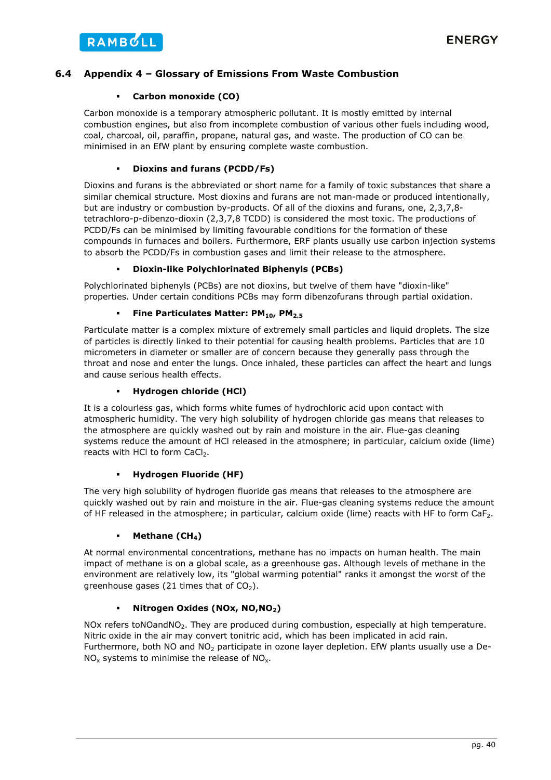### **6.4 Appendix 4 – Glossary of Emissions From Waste Combustion**

### **Carbon monoxide (CO)**

Carbon monoxide is a temporary atmospheric pollutant. It is mostly emitted by internal combustion engines, but also from incomplete combustion of various other fuels including wood, coal, charcoal, oil, paraffin, propane, natural gas, and waste. The production of CO can be minimised in an EfW plant by ensuring complete waste combustion.

### **Dioxins and furans (PCDD/Fs)**

Dioxins and furans is the abbreviated or short name for a family of toxic substances that share a similar chemical structure. Most dioxins and furans are not man-made or produced intentionally, but are industry or combustion by-products. Of all of the dioxins and furans, one, 2,3,7,8 tetrachloro-p-dibenzo-dioxin (2,3,7,8 TCDD) is considered the most toxic. The productions of PCDD/Fs can be minimised by limiting favourable conditions for the formation of these compounds in furnaces and boilers. Furthermore, ERF plants usually use carbon injection systems to absorb the PCDD/Fs in combustion gases and limit their release to the atmosphere.

### **Dioxin-like Polychlorinated Biphenyls (PCBs)**

Polychlorinated biphenyls (PCBs) are not dioxins, but twelve of them have "dioxin-like" properties. Under certain conditions PCBs may form dibenzofurans through partial oxidation.

### **Fine Particulates Matter: PM10, PM2.5**

Particulate matter is a complex mixture of extremely small particles and liquid droplets. The size of particles is directly linked to their potential for causing health problems. Particles that are 10 micrometers in diameter or smaller are of concern because they generally pass through the throat and nose and enter the lungs. Once inhaled, these particles can affect the heart and lungs and cause serious health effects.

### **Hydrogen chloride (HCl)**

It is a colourless gas, which forms white fumes of hydrochloric acid upon contact with atmospheric humidity. The very high solubility of hydrogen chloride gas means that releases to the atmosphere are quickly washed out by rain and moisture in the air. Flue-gas cleaning systems reduce the amount of HCl released in the atmosphere; in particular, calcium oxide (lime) reacts with HCl to form CaCl<sub>2</sub>.

### **Hydrogen Fluoride (HF)**

The very high solubility of hydrogen fluoride gas means that releases to the atmosphere are quickly washed out by rain and moisture in the air. Flue-gas cleaning systems reduce the amount of HF released in the atmosphere; in particular, calcium oxide (lime) reacts with HF to form CaF<sub>2</sub>.

### **Methane (CH<sub>4</sub>)**

At normal environmental concentrations, methane has no impacts on human health. The main impact of methane is on a global scale, as a greenhouse gas. Although levels of methane in the environment are relatively low, its "global warming potential" ranks it amongst the worst of the greenhouse gases (21 times that of  $CO<sub>2</sub>$ ).

### **Nitrogen Oxides (NOx, NO,NO2)**

NOx refers toNOandNO<sub>2</sub>. They are produced during combustion, especially at high temperature. Nitric oxide in the air may convert tonitric acid, which has been implicated in acid rain. Furthermore, both NO and NO<sub>2</sub> participate in ozone layer depletion. EfW plants usually use a De- $NO<sub>x</sub>$  systems to minimise the release of  $NO<sub>x</sub>$ .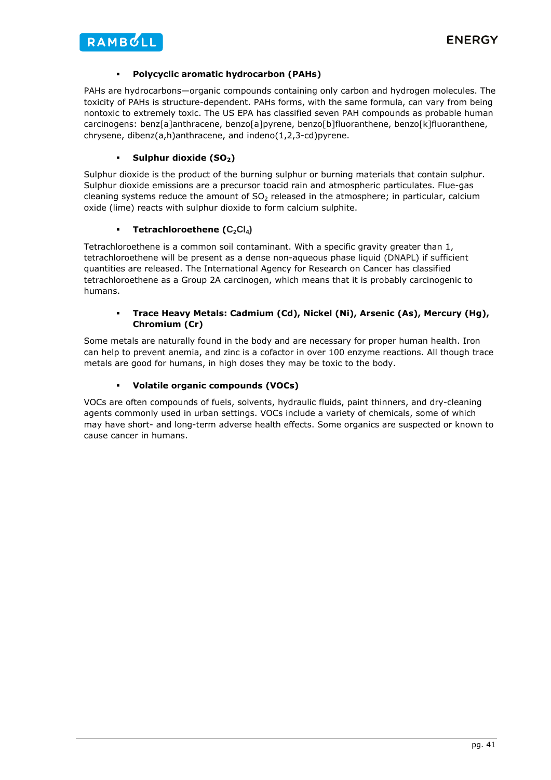### **Polycyclic aromatic hydrocarbon (PAHs)**

PAHs are hydrocarbons—organic compounds containing only carbon and hydrogen molecules. The toxicity of PAHs is structure-dependent. PAHs forms, with the same formula, can vary from being nontoxic to extremely toxic. The US EPA has classified seven PAH compounds as probable human carcinogens: benz[a]anthracene, benzo[a]pyrene, benzo[b]fluoranthene, benzo[k]fluoranthene, chrysene, dibenz(a,h)anthracene, and indeno(1,2,3-cd)pyrene.

### Sulphur dioxide (SO<sub>2</sub>)

Sulphur dioxide is the product of the burning sulphur or burning materials that contain sulphur. Sulphur dioxide emissions are a precursor toacid rain and atmospheric particulates. Flue-gas cleaning systems reduce the amount of  $SO<sub>2</sub>$  released in the atmosphere; in particular, calcium oxide (lime) reacts with sulphur dioxide to form calcium sulphite.

### **Tetrachloroethene (C<sub>2</sub>Cl<sub>4</sub>)**

Tetrachloroethene is a common soil contaminant. With a specific gravity greater than 1, tetrachloroethene will be present as a dense non-aqueous phase liquid (DNAPL) if sufficient quantities are released. The International Agency for Research on Cancer has classified tetrachloroethene as a Group 2A carcinogen, which means that it is probably carcinogenic to humans.

### **Trace Heavy Metals: Cadmium (Cd), Nickel (Ni), Arsenic (As), Mercury (Hg), Chromium (Cr)**

Some metals are naturally found in the body and are necessary for proper human health. Iron can help to prevent anemia, and zinc is a cofactor in over 100 enzyme reactions. All though trace metals are good for humans, in high doses they may be toxic to the body.

### **Volatile organic compounds (VOCs)**

VOCs are often compounds of fuels, solvents, hydraulic fluids, paint thinners, and dry-cleaning agents commonly used in urban settings. VOCs include a variety of chemicals, some of which may have short- and long-term adverse health effects. Some organics are suspected or known to cause cancer in humans.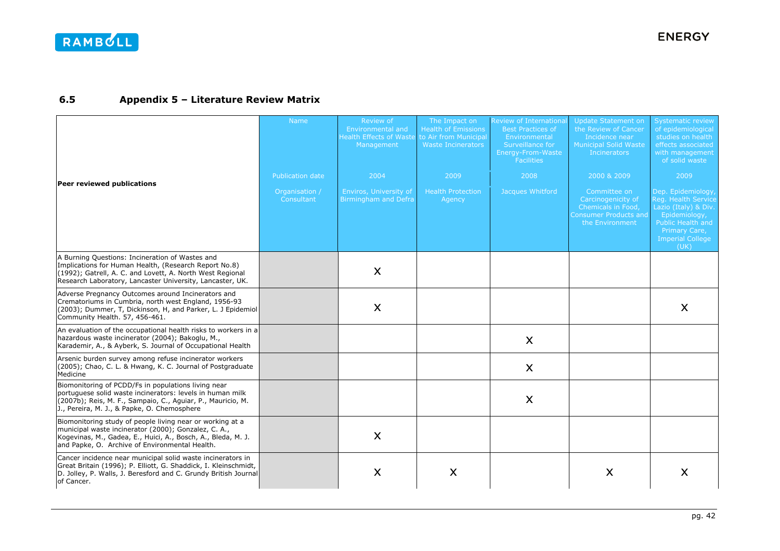#### **6.5Appendix 5 – Literature Review Matrix**

|                                                                                                                                                                                                                                     | Name                         | Review of<br>Environmental and<br><b>Health Effects of Waste</b><br>Management | The Impact on<br><b>Health of Emissions</b><br>to Air from Municipal<br><b>Waste Incinerators</b> | <b>Review of International</b><br><b>Best Practices of</b><br>Environmental<br>Surveillance for<br>Energy-From-Waste<br><b>Facilities</b> | Update Statement on<br>the Review of Cancer<br>Incidence near<br>Municipal Solid Waste<br><b>Incinerators</b> | <b>Systematic review</b><br>of epidemiological<br>studies on health<br>effects associated<br>with management<br>of solid waste                              |
|-------------------------------------------------------------------------------------------------------------------------------------------------------------------------------------------------------------------------------------|------------------------------|--------------------------------------------------------------------------------|---------------------------------------------------------------------------------------------------|-------------------------------------------------------------------------------------------------------------------------------------------|---------------------------------------------------------------------------------------------------------------|-------------------------------------------------------------------------------------------------------------------------------------------------------------|
| Peer reviewed publications                                                                                                                                                                                                          | Publication date             | 2004                                                                           | 2009                                                                                              | 2008                                                                                                                                      | 2000 & 2009                                                                                                   | 2009                                                                                                                                                        |
|                                                                                                                                                                                                                                     | Organisation /<br>Consultant | Enviros, University of<br>Birmingham and Defra                                 | <b>Health Protection</b><br>Agency                                                                | Jacques Whitford                                                                                                                          | Committee on<br>Carcinogenicity of<br>Chemicals in Food,<br>Consumer Products and<br>the Environment          | Dep. Epidemiology,<br>Reg. Health Service<br>Lazio (Italy) & Div.<br>Epidemiology,<br>Public Health and<br>Primary Care,<br><b>Imperial College</b><br>(UK) |
| A Burning Questions: Incineration of Wastes and<br>Implications for Human Health, (Research Report No.8)<br>(1992); Gatrell, A. C. and Lovett, A. North West Regional<br>Research Laboratory, Lancaster University, Lancaster, UK.  |                              | X                                                                              |                                                                                                   |                                                                                                                                           |                                                                                                               |                                                                                                                                                             |
| Adverse Pregnancy Outcomes around Incinerators and<br>Crematoriums in Cumbria, north west England, 1956-93<br>(2003); Dummer, T, Dickinson, H, and Parker, L. J Epidemiol<br>Community Health. 57, 456-461.                         |                              | X                                                                              |                                                                                                   |                                                                                                                                           |                                                                                                               | X                                                                                                                                                           |
| An evaluation of the occupational health risks to workers in a<br>hazardous waste incinerator (2004); Bakoglu, M.,<br>Karademir, A., & Ayberk, S. Journal of Occupational Health                                                    |                              |                                                                                |                                                                                                   | $\mathsf{X}$                                                                                                                              |                                                                                                               |                                                                                                                                                             |
| Arsenic burden survey among refuse incinerator workers<br>(2005); Chao, C. L. & Hwang, K. C. Journal of Postgraduate<br>Medicine                                                                                                    |                              |                                                                                |                                                                                                   | X                                                                                                                                         |                                                                                                               |                                                                                                                                                             |
| Biomonitoring of PCDD/Fs in populations living near<br>portuguese solid waste incinerators: levels in human milk<br>(2007b); Reis, M. F., Sampaio, C., Aguiar, P., Mauricio, M.<br>J., Pereira, M. J., & Papke, O. Chemosphere      |                              |                                                                                |                                                                                                   | $\boldsymbol{\mathsf{X}}$                                                                                                                 |                                                                                                               |                                                                                                                                                             |
| Biomonitoring study of people living near or working at a<br>municipal waste incinerator (2000); Gonzalez, C. A.,<br>Kogevinas, M., Gadea, E., Huici, A., Bosch, A., Bleda, M. J.<br>and Papke, O. Archive of Environmental Health. |                              | X                                                                              |                                                                                                   |                                                                                                                                           |                                                                                                               |                                                                                                                                                             |
| Cancer incidence near municipal solid waste incinerators in<br>Great Britain (1996); P. Elliott, G. Shaddick, I. Kleinschmidt,<br>D. Jolley, P. Walls, J. Beresford and C. Grundy British Journal<br>of Cancer.                     |                              | $\boldsymbol{\mathsf{X}}$                                                      | $\boldsymbol{\mathsf{X}}$                                                                         |                                                                                                                                           | X                                                                                                             | X                                                                                                                                                           |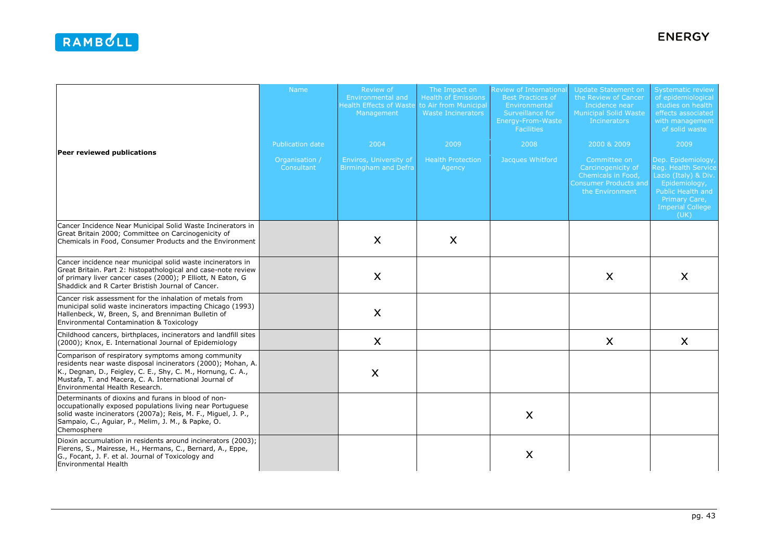| Peer reviewed publications                                                                                                                                                                                                                                                    | <b>Name</b>                                      | Review of<br>Environmental and<br><b>Health Effects of Waste</b><br>Management | The Impact on<br><b>Health of Emissions</b><br>to Air from Municipal<br><b>Waste Incinerators</b> | Review of Internationa<br><b>Best Practices of</b><br>Environmental<br>Surveillance for<br>Energy-From-Waste<br><b>Facilities</b> | Update Statement on<br>the Review of Cancer<br>Incidence near<br><b>Municipal Solid Waste</b><br><b>Incinerators</b>       | <b>Systematic review</b><br>of epidemiological<br>studies on health<br>effects associated<br>with management<br>of solid waste                                             |
|-------------------------------------------------------------------------------------------------------------------------------------------------------------------------------------------------------------------------------------------------------------------------------|--------------------------------------------------|--------------------------------------------------------------------------------|---------------------------------------------------------------------------------------------------|-----------------------------------------------------------------------------------------------------------------------------------|----------------------------------------------------------------------------------------------------------------------------|----------------------------------------------------------------------------------------------------------------------------------------------------------------------------|
|                                                                                                                                                                                                                                                                               | Publication date<br>Organisation /<br>Consultant | 2004<br>Enviros, University of<br>Birmingham and Defra                         | 2009<br><b>Health Protection</b><br>Agency                                                        | 2008<br>Jacques Whitford                                                                                                          | 2000 & 2009<br>Committee on<br>Carcinogenicity of<br>Chemicals in Food,<br><b>Consumer Products and</b><br>the Environment | 2009<br>Dep. Epidemiology,<br>Reg. Health Service<br>Lazio (Italy) & Div.<br>Epidemiology,<br><b>Public Health and</b><br>Primary Care,<br><b>Imperial College</b><br>(UK) |
| Cancer Incidence Near Municipal Solid Waste Incinerators in<br>Great Britain 2000; Committee on Carcinogenicity of<br>Chemicals in Food, Consumer Products and the Environment                                                                                                |                                                  | X                                                                              | X                                                                                                 |                                                                                                                                   |                                                                                                                            |                                                                                                                                                                            |
| Cancer incidence near municipal solid waste incinerators in<br>Great Britain. Part 2: histopathological and case-note review<br>of primary liver cancer cases (2000); P Elliott, N Eaton, G<br>Shaddick and R Carter Bristish Journal of Cancer.                              |                                                  | $\mathsf{X}$                                                                   |                                                                                                   |                                                                                                                                   | X                                                                                                                          | $\mathsf{X}$                                                                                                                                                               |
| Cancer risk assessment for the inhalation of metals from<br>municipal solid waste incinerators impacting Chicago (1993)<br>Hallenbeck, W, Breen, S, and Brenniman Bulletin of<br>Environmental Contamination & Toxicology                                                     |                                                  | X                                                                              |                                                                                                   |                                                                                                                                   |                                                                                                                            |                                                                                                                                                                            |
| Childhood cancers, birthplaces, incinerators and landfill sites<br>(2000); Knox, E. International Journal of Epidemiology                                                                                                                                                     |                                                  | X                                                                              |                                                                                                   |                                                                                                                                   | X                                                                                                                          | X                                                                                                                                                                          |
| Comparison of respiratory symptoms among community<br>residents near waste disposal incinerators (2000); Mohan, A.<br>K., Degnan, D., Feigley, C. E., Shy, C. M., Hornung, C. A.,<br>Mustafa, T. and Macera, C. A. International Journal of<br>Environmental Health Research. |                                                  | X                                                                              |                                                                                                   |                                                                                                                                   |                                                                                                                            |                                                                                                                                                                            |
| Determinants of dioxins and furans in blood of non-<br>occupationally exposed populations living near Portuguese<br>solid waste incinerators (2007a); Reis, M. F., Miguel, J. P.,<br>Sampaio, C., Aguiar, P., Melim, J. M., & Papke, O.<br>Chemosphere                        |                                                  |                                                                                |                                                                                                   | $\mathsf{X}$                                                                                                                      |                                                                                                                            |                                                                                                                                                                            |
| Dioxin accumulation in residents around incinerators (2003);<br>Fierens, S., Mairesse, H., Hermans, C., Bernard, A., Eppe,<br>G., Focant, J. F. et al. Journal of Toxicology and<br>Environmental Health                                                                      |                                                  |                                                                                |                                                                                                   | X                                                                                                                                 |                                                                                                                            |                                                                                                                                                                            |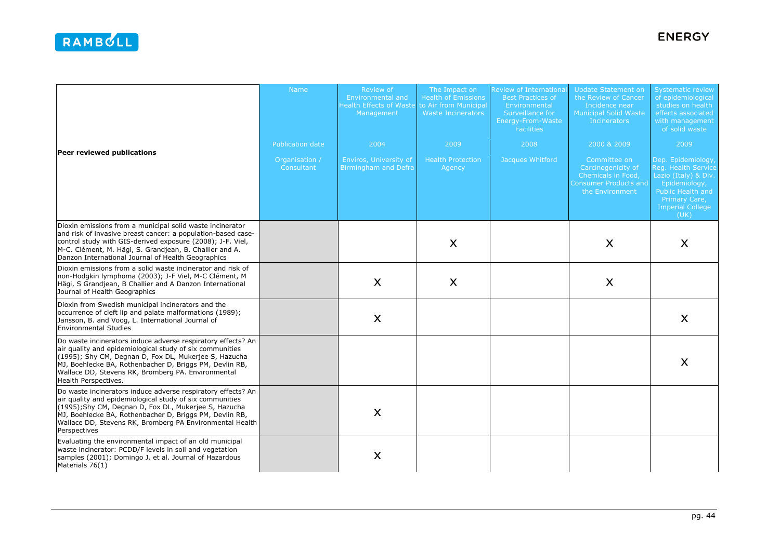|                                                                                                                                                                                                                                                                                                                                   | <b>Name</b>                  | Review of<br>Environmental and<br><b>Health Effects of Waste</b><br>Management | The Impact on<br><b>Health of Emissions</b><br>to Air from Municipal<br><b>Waste Incinerators</b> | <b>Review of Internationa</b><br><b>Best Practices of</b><br>Environmental<br>Surveillance for<br>Energy-From-Waste<br><b>Facilities</b> | <b>Update Statement on</b><br>the Review of Cancer<br>Incidence near<br><b>Municipal Solid Waste</b><br><b>Incinerators</b> | <b>Systematic review</b><br>of epidemiological<br>studies on health<br>effects associated<br>with management<br>of solid waste                             |
|-----------------------------------------------------------------------------------------------------------------------------------------------------------------------------------------------------------------------------------------------------------------------------------------------------------------------------------|------------------------------|--------------------------------------------------------------------------------|---------------------------------------------------------------------------------------------------|------------------------------------------------------------------------------------------------------------------------------------------|-----------------------------------------------------------------------------------------------------------------------------|------------------------------------------------------------------------------------------------------------------------------------------------------------|
| Peer reviewed publications                                                                                                                                                                                                                                                                                                        | Publication date             | 2004                                                                           | 2009                                                                                              | 2008                                                                                                                                     | 2000 & 2009                                                                                                                 | 2009                                                                                                                                                       |
|                                                                                                                                                                                                                                                                                                                                   | Organisation /<br>Consultant | Enviros, University of<br><b>Birmingham and Defra</b>                          | <b>Health Protection</b><br>Agency                                                                | Jacques Whitford                                                                                                                         | Committee on<br>Carcinogenicity of<br>Chemicals in Food,<br><b>Consumer Products and</b><br>the Environment                 | Dep. Epidemiology<br>Reg. Health Service<br>Lazio (Italy) & Div.<br>Epidemiology,<br>Public Health and<br>Primary Care,<br><b>Imperial College</b><br>(UK) |
| Dioxin emissions from a municipal solid waste incinerator<br>and risk of invasive breast cancer: a population-based case-<br>control study with GIS-derived exposure (2008); J-F. Viel,<br>M-C. Clément, M. Hägi, S. Grandjean, B. Challier and A.<br>Danzon International Journal of Health Geographics                          |                              |                                                                                | $\mathsf{X}$                                                                                      |                                                                                                                                          | X                                                                                                                           | X                                                                                                                                                          |
| Dioxin emissions from a solid waste incinerator and risk of<br>non-Hodgkin lymphoma (2003); J-F Viel, M-C Clément, M<br>Hägi, S Grandjean, B Challier and A Danzon International<br>Journal of Health Geographics                                                                                                                 |                              | X                                                                              | X                                                                                                 |                                                                                                                                          | X                                                                                                                           |                                                                                                                                                            |
| Dioxin from Swedish municipal incinerators and the<br>occurrence of cleft lip and palate malformations (1989);<br>Jansson, B. and Voog, L. International Journal of<br><b>Environmental Studies</b>                                                                                                                               |                              | X                                                                              |                                                                                                   |                                                                                                                                          |                                                                                                                             | X                                                                                                                                                          |
| Do waste incinerators induce adverse respiratory effects? An<br>air quality and epidemiological study of six communities<br>(1995); Shy CM, Degnan D, Fox DL, Mukerjee S, Hazucha<br>MJ, Boehlecke BA, Rothenbacher D, Briggs PM, Devlin RB,<br>Wallace DD, Stevens RK, Bromberg PA. Environmental<br><b>Health Perspectives.</b> |                              |                                                                                |                                                                                                   |                                                                                                                                          |                                                                                                                             | X                                                                                                                                                          |
| Do waste incinerators induce adverse respiratory effects? An<br>air quality and epidemiological study of six communities<br>(1995); Shy CM, Degnan D, Fox DL, Mukerjee S, Hazucha<br>MJ, Boehlecke BA, Rothenbacher D, Briggs PM, Devlin RB,<br>Wallace DD, Stevens RK, Bromberg PA Environmental Health<br>Perspectives          |                              | X                                                                              |                                                                                                   |                                                                                                                                          |                                                                                                                             |                                                                                                                                                            |
| Evaluating the environmental impact of an old municipal<br>waste incinerator: PCDD/F levels in soil and vegetation<br>samples (2001); Domingo J. et al. Journal of Hazardous<br>Materials 76(1)                                                                                                                                   |                              | X                                                                              |                                                                                                   |                                                                                                                                          |                                                                                                                             |                                                                                                                                                            |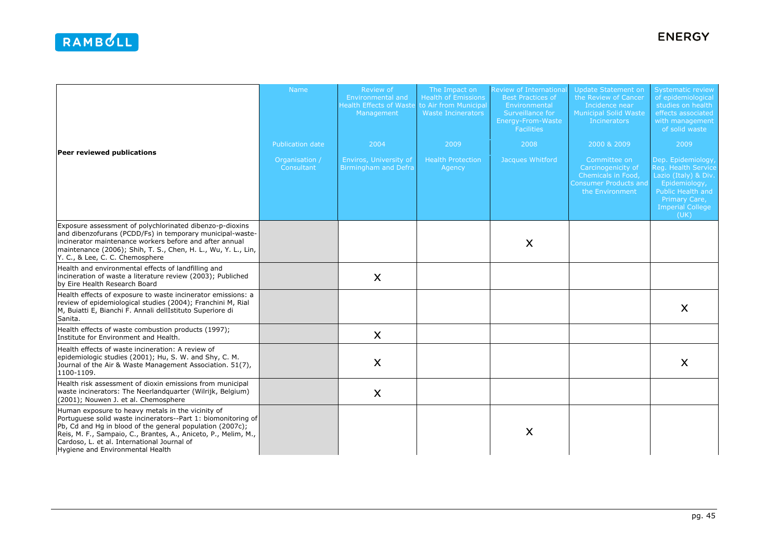|                                                                                                                                                                                                                                                                                                                                      | Name                         | Review of<br><b>Environmental and</b><br><b>Health Effects of Waste</b><br>Management | The Impact on<br><b>Health of Emissions</b><br>to Air from Municipal<br><b>Waste Incinerators</b> | Review of Internationa<br><b>Best Practices of</b><br>Environmental<br>Surveillance for<br>Energy-From-Waste<br><b>Facilities</b> | <b>Update Statement on</b><br>the Review of Cancer<br>Incidence near<br><b>Municipal Solid Waste</b><br>Incinerators | <b>Systematic review</b><br>of epidemiological<br>studies on health<br>effects associated<br>with management<br>of solid waste                              |
|--------------------------------------------------------------------------------------------------------------------------------------------------------------------------------------------------------------------------------------------------------------------------------------------------------------------------------------|------------------------------|---------------------------------------------------------------------------------------|---------------------------------------------------------------------------------------------------|-----------------------------------------------------------------------------------------------------------------------------------|----------------------------------------------------------------------------------------------------------------------|-------------------------------------------------------------------------------------------------------------------------------------------------------------|
|                                                                                                                                                                                                                                                                                                                                      | <b>Publication date</b>      | 2004                                                                                  | 2009                                                                                              | 2008                                                                                                                              | 2000 & 2009                                                                                                          | 2009                                                                                                                                                        |
| Peer reviewed publications                                                                                                                                                                                                                                                                                                           | Organisation /<br>Consultant | <b>Enviros, University of</b><br><b>Birmingham and Defra</b>                          | <b>Health Protection</b><br>Agency                                                                | Jacques Whitford                                                                                                                  | Committee on<br>Carcinogenicity of<br>Chemicals in Food,<br><b>Consumer Products and</b><br>the Environment          | Dep. Epidemiology,<br>Reg. Health Service<br>Lazio (Italy) & Div.<br>Epidemiology,<br>Public Health and<br>Primary Care,<br><b>Imperial College</b><br>(UK) |
| Exposure assessment of polychlorinated dibenzo-p-dioxins<br>and dibenzofurans (PCDD/Fs) in temporary municipal-waste-<br>lincinerator maintenance workers before and after annual<br>maintenance (2006); Shih, T. S., Chen, H. L., Wu, Y. L., Lin,<br>Y. C., & Lee, C. C. Chemosphere                                                |                              |                                                                                       |                                                                                                   | X                                                                                                                                 |                                                                                                                      |                                                                                                                                                             |
| Health and environmental effects of landfilling and<br>incineration of waste a literature review (2003); Publiched<br>by Eire Health Research Board                                                                                                                                                                                  |                              | X                                                                                     |                                                                                                   |                                                                                                                                   |                                                                                                                      |                                                                                                                                                             |
| Health effects of exposure to waste incinerator emissions: a<br>review of epidemiological studies (2004); Franchini M, Rial<br>M, Buiatti E, Bianchi F. Annali dellIstituto Superiore di<br>Sanita.                                                                                                                                  |                              |                                                                                       |                                                                                                   |                                                                                                                                   |                                                                                                                      | $\boldsymbol{\mathsf{X}}$                                                                                                                                   |
| Health effects of waste combustion products (1997);<br>Institute for Environment and Health.                                                                                                                                                                                                                                         |                              | X                                                                                     |                                                                                                   |                                                                                                                                   |                                                                                                                      |                                                                                                                                                             |
| Health effects of waste incineration: A review of<br>epidemiologic studies (2001); Hu, S. W. and Shy, C. M.<br>Journal of the Air & Waste Management Association. 51(7),<br>1100-1109.                                                                                                                                               |                              | X                                                                                     |                                                                                                   |                                                                                                                                   |                                                                                                                      | X                                                                                                                                                           |
| Health risk assessment of dioxin emissions from municipal<br>waste incinerators: The Neerlandquarter (Wilrijk, Belgium)<br>(2001); Nouwen J. et al. Chemosphere                                                                                                                                                                      |                              | X                                                                                     |                                                                                                   |                                                                                                                                   |                                                                                                                      |                                                                                                                                                             |
| Human exposure to heavy metals in the vicinity of<br>Portuguese solid waste incinerators--Part 1: biomonitoring of<br>Pb, Cd and Hg in blood of the general population (2007c);<br>Reis, M. F., Sampaio, C., Brantes, A., Aniceto, P., Melim, M.,<br>Cardoso, L. et al. International Journal of<br>Hygiene and Environmental Health |                              |                                                                                       |                                                                                                   | X                                                                                                                                 |                                                                                                                      |                                                                                                                                                             |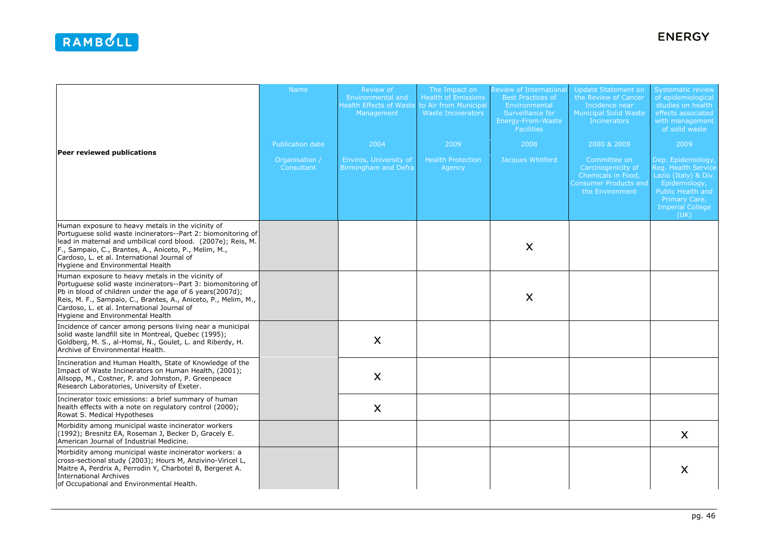|                                                                                                                                                                                                                                                                                                                                     | <b>Name</b>                  | Review of<br>Environmental and<br><b>Health Effects of Waste</b><br>Management | The Impact on<br><b>Health of Emissions</b><br>to Air from Municipal<br><b>Waste Incinerators</b> | Review of Internationa<br><b>Best Practices of</b><br>Environmental<br>Surveillance for<br>Energy-From-Waste<br><b>Facilities</b> | Update Statement on<br>the Review of Cancer<br>Incidence near<br><b>Municipal Solid Waste</b><br>Incinerators | <b>Systematic review</b><br>of epidemiological<br>studies on health<br>effects associated<br>with management<br>of solid waste                             |
|-------------------------------------------------------------------------------------------------------------------------------------------------------------------------------------------------------------------------------------------------------------------------------------------------------------------------------------|------------------------------|--------------------------------------------------------------------------------|---------------------------------------------------------------------------------------------------|-----------------------------------------------------------------------------------------------------------------------------------|---------------------------------------------------------------------------------------------------------------|------------------------------------------------------------------------------------------------------------------------------------------------------------|
|                                                                                                                                                                                                                                                                                                                                     | <b>Publication date</b>      | 2004                                                                           | 2009                                                                                              | 2008                                                                                                                              | 2000 & 2009                                                                                                   | 2009                                                                                                                                                       |
| Peer reviewed publications                                                                                                                                                                                                                                                                                                          | Organisation /<br>Consultant | Enviros, University of<br><b>Birmingham and Defra</b>                          | <b>Health Protection</b><br>Agency                                                                | Jacques Whitford                                                                                                                  | Committee on<br>Carcinogenicity of<br>Chemicals in Food,<br><b>Consumer Products and</b><br>the Environment   | Dep. Epidemiology<br>Reg. Health Service<br>Lazio (Italy) & Div.<br>Epidemiology,<br>Public Health and<br>Primary Care,<br><b>Imperial College</b><br>(UK) |
| Human exposure to heavy metals in the vicinity of<br>Portuguese solid waste incinerators--Part 2: biomonitoring of<br>lead in maternal and umbilical cord blood. (2007e); Reis, M.<br>F., Sampaio, C., Brantes, A., Aniceto, P., Melim, M.,<br>Cardoso, L. et al. International Journal of<br>Hygiene and Environmental Health      |                              |                                                                                |                                                                                                   | X                                                                                                                                 |                                                                                                               |                                                                                                                                                            |
| Human exposure to heavy metals in the vicinity of<br>Portuguese solid waste incinerators--Part 3: biomonitoring of<br>Pb in blood of children under the age of 6 years(2007d);<br>Reis, M. F., Sampaio, C., Brantes, A., Aniceto, P., Melim, M.,<br>Cardoso, L. et al. International Journal of<br>Hygiene and Environmental Health |                              |                                                                                |                                                                                                   | X                                                                                                                                 |                                                                                                               |                                                                                                                                                            |
| Incidence of cancer among persons living near a municipal<br>solid waste landfill site in Montreal, Quebec (1995);<br>Goldberg, M. S., al-Homsi, N., Goulet, L. and Riberdy, H.<br>Archive of Environmental Health.                                                                                                                 |                              | X                                                                              |                                                                                                   |                                                                                                                                   |                                                                                                               |                                                                                                                                                            |
| Incineration and Human Health, State of Knowledge of the<br>Impact of Waste Incinerators on Human Health, (2001);<br>Allsopp, M., Costner, P. and Johnston, P. Greenpeace<br>Research Laboratories, University of Exeter.                                                                                                           |                              | X                                                                              |                                                                                                   |                                                                                                                                   |                                                                                                               |                                                                                                                                                            |
| Incinerator toxic emissions: a brief summary of human<br>health effects with a note on regulatory control (2000);<br>Rowat S. Medical Hypotheses                                                                                                                                                                                    |                              | $\boldsymbol{\mathsf{X}}$                                                      |                                                                                                   |                                                                                                                                   |                                                                                                               |                                                                                                                                                            |
| Morbidity among municipal waste incinerator workers<br>(1992); Bresnitz EA, Roseman J, Becker D, Gracely E.<br>American Journal of Industrial Medicine.                                                                                                                                                                             |                              |                                                                                |                                                                                                   |                                                                                                                                   |                                                                                                               | X                                                                                                                                                          |
| Morbidity among municipal waste incinerator workers: a<br>cross-sectional study (2003); Hours M, Anzivino-Viricel L,<br>Maitre A, Perdrix A, Perrodin Y, Charbotel B, Bergeret A.<br><b>International Archives</b><br>of Occupational and Environmental Health.                                                                     |                              |                                                                                |                                                                                                   |                                                                                                                                   |                                                                                                               | X                                                                                                                                                          |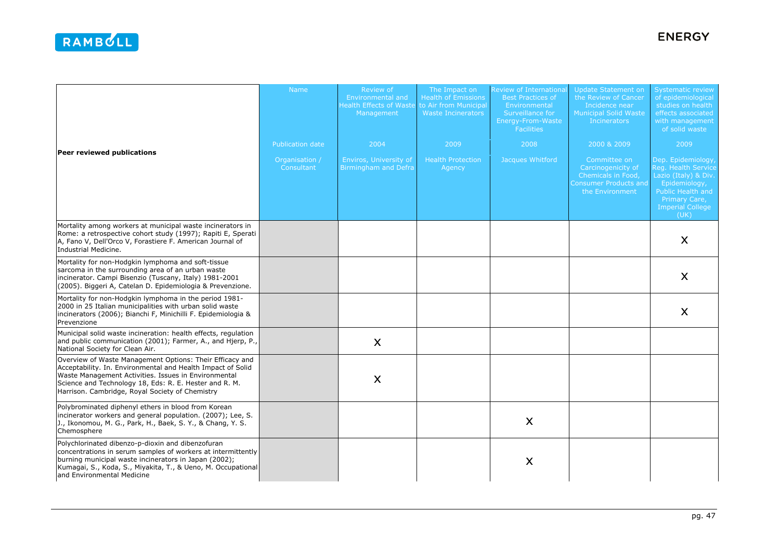|                                                                                                                                                                                                                                                                                              | <b>Name</b>                  | Review of<br><b>Environmental and</b><br><b>Health Effects of Waste</b><br>Management | The Impact on<br><b>Health of Emissions</b><br>to Air from Municipal<br><b>Waste Incinerators</b> | <b>Review of Internationa</b><br><b>Best Practices of</b><br>Environmental<br>Surveillance for<br>Energy-From-Waste<br><b>Facilities</b> | Update Statement on<br>the Review of Cancer<br>Incidence near<br><b>Municipal Solid Waste</b><br><b>Incinerators</b> | <b>Systematic review</b><br>of epidemiological<br>studies on health<br>effects associated<br>with management<br>of solid waste                                    |
|----------------------------------------------------------------------------------------------------------------------------------------------------------------------------------------------------------------------------------------------------------------------------------------------|------------------------------|---------------------------------------------------------------------------------------|---------------------------------------------------------------------------------------------------|------------------------------------------------------------------------------------------------------------------------------------------|----------------------------------------------------------------------------------------------------------------------|-------------------------------------------------------------------------------------------------------------------------------------------------------------------|
| Peer reviewed publications                                                                                                                                                                                                                                                                   | Publication date             | 2004                                                                                  | 2009                                                                                              | 2008                                                                                                                                     | 2000 & 2009                                                                                                          | 2009                                                                                                                                                              |
|                                                                                                                                                                                                                                                                                              | Organisation /<br>Consultant | Enviros, University of<br><b>Birmingham and Defra</b>                                 | <b>Health Protection</b><br>Agency                                                                | Jacques Whitford                                                                                                                         | Committee on<br>Carcinogenicity of<br>Chemicals in Food,<br><b>Consumer Products and</b><br>the Environment          | Dep. Epidemiology<br>Reg. Health Service<br>Lazio (Italy) & Div.<br>Epidemiology,<br><b>Public Health and</b><br>Primary Care,<br><b>Imperial College</b><br>(UK) |
| Mortality among workers at municipal waste incinerators in<br>Rome: a retrospective cohort study (1997); Rapiti E, Sperati<br>A, Fano V, Dell'Orco V, Forastiere F. American Journal of<br>Industrial Medicine.                                                                              |                              |                                                                                       |                                                                                                   |                                                                                                                                          |                                                                                                                      | $\boldsymbol{\mathsf{X}}$                                                                                                                                         |
| Mortality for non-Hodgkin lymphoma and soft-tissue<br>sarcoma in the surrounding area of an urban waste<br>incinerator. Campi Bisenzio (Tuscany, Italy) 1981-2001<br>(2005). Biggeri A, Catelan D. Epidemiologia & Prevenzione.                                                              |                              |                                                                                       |                                                                                                   |                                                                                                                                          |                                                                                                                      | $\boldsymbol{\mathsf{X}}$                                                                                                                                         |
| Mortality for non-Hodgkin lymphoma in the period 1981-<br>2000 in 25 Italian municipalities with urban solid waste<br>incinerators (2006); Bianchi F, Minichilli F. Epidemiologia &<br>Prevenzione                                                                                           |                              |                                                                                       |                                                                                                   |                                                                                                                                          |                                                                                                                      | $\boldsymbol{\mathsf{X}}$                                                                                                                                         |
| Municipal solid waste incineration: health effects, regulation<br>and public communication (2001); Farmer, A., and Hjerp, P.,<br>National Society for Clean Air.                                                                                                                             |                              | X                                                                                     |                                                                                                   |                                                                                                                                          |                                                                                                                      |                                                                                                                                                                   |
| Overview of Waste Management Options: Their Efficacy and<br>Acceptability. In. Environmental and Health Impact of Solid<br>Waste Management Activities. Issues in Environmental<br>Science and Technology 18, Eds: R. E. Hester and R. M.<br>Harrison. Cambridge, Royal Society of Chemistry |                              | X                                                                                     |                                                                                                   |                                                                                                                                          |                                                                                                                      |                                                                                                                                                                   |
| Polybrominated diphenyl ethers in blood from Korean<br>incinerator workers and general population. (2007); Lee, S.<br>J., Ikonomou, M. G., Park, H., Baek, S. Y., & Chang, Y. S.<br>Chemosphere                                                                                              |                              |                                                                                       |                                                                                                   | X                                                                                                                                        |                                                                                                                      |                                                                                                                                                                   |
| Polychlorinated dibenzo-p-dioxin and dibenzofuran<br>concentrations in serum samples of workers at intermittently<br>burning municipal waste incinerators in Japan (2002);<br>Kumagai, S., Koda, S., Miyakita, T., & Ueno, M. Occupational<br>and Environmental Medicine                     |                              |                                                                                       |                                                                                                   | X                                                                                                                                        |                                                                                                                      |                                                                                                                                                                   |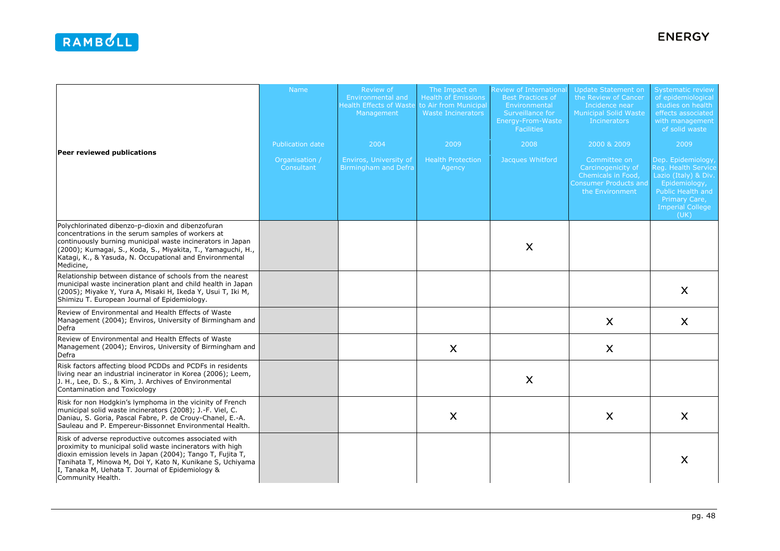| Peer reviewed publications                                                                                                                                                                                                                                                                                             | Name                         | Review of<br><b>Environmental and</b><br><b>Health Effects of Waste</b><br>Management | The Impact on<br><b>Health of Emissions</b><br>to Air from Municipal<br>Waste Incinerators | <b>Review of Internationa</b><br><b>Best Practices of</b><br>Environmental<br>Surveillance for<br>Energy-From-Waste<br><b>Facilities</b> | Update Statement on<br>the Review of Cancer<br>Incidence near<br><b>Municipal Solid Waste</b><br><b>Incinerators</b> | <b>Systematic review</b><br>of epidemiological<br>studies on health<br>effects associated<br>with management<br>of solid waste                             |
|------------------------------------------------------------------------------------------------------------------------------------------------------------------------------------------------------------------------------------------------------------------------------------------------------------------------|------------------------------|---------------------------------------------------------------------------------------|--------------------------------------------------------------------------------------------|------------------------------------------------------------------------------------------------------------------------------------------|----------------------------------------------------------------------------------------------------------------------|------------------------------------------------------------------------------------------------------------------------------------------------------------|
|                                                                                                                                                                                                                                                                                                                        | Publication date             | 2004                                                                                  | 2009                                                                                       | 2008                                                                                                                                     | 2000 & 2009                                                                                                          | 2009                                                                                                                                                       |
|                                                                                                                                                                                                                                                                                                                        | Organisation /<br>Consultant | Enviros, University of<br><b>Birmingham and Defra</b>                                 | <b>Health Protection</b><br>Agency                                                         | Jacques Whitford                                                                                                                         | Committee on<br>Carcinogenicity of<br>Chemicals in Food,<br><b>Consumer Products and</b><br>the Environment          | Dep. Epidemiology<br>Reg. Health Service<br>Lazio (Italy) & Div.<br>Epidemiology,<br>Public Health and<br>Primary Care,<br><b>Imperial College</b><br>(UK) |
| Polychlorinated dibenzo-p-dioxin and dibenzofuran<br>concentrations in the serum samples of workers at<br>continuously burning municipal waste incinerators in Japan<br>(2000); Kumagai, S., Koda, S., Miyakita, T., Yamaguchi, H.,<br>Katagi, K., & Yasuda, N. Occupational and Environmental<br>Medicine,            |                              |                                                                                       |                                                                                            | X                                                                                                                                        |                                                                                                                      |                                                                                                                                                            |
| Relationship between distance of schools from the nearest<br>municipal waste incineration plant and child health in Japan<br>(2005); Miyake Y, Yura A, Misaki H, Ikeda Y, Usui T, Iki M,<br>Shimizu T. European Journal of Epidemiology.                                                                               |                              |                                                                                       |                                                                                            |                                                                                                                                          |                                                                                                                      | $\boldsymbol{\mathsf{X}}$                                                                                                                                  |
| Review of Environmental and Health Effects of Waste<br>Management (2004); Enviros, University of Birmingham and<br>Defra                                                                                                                                                                                               |                              |                                                                                       |                                                                                            |                                                                                                                                          | X                                                                                                                    | $\boldsymbol{\mathsf{X}}$                                                                                                                                  |
| Review of Environmental and Health Effects of Waste<br>Management (2004); Enviros, University of Birmingham and<br>Defra                                                                                                                                                                                               |                              |                                                                                       | X                                                                                          |                                                                                                                                          | X                                                                                                                    |                                                                                                                                                            |
| Risk factors affecting blood PCDDs and PCDFs in residents<br>living near an industrial incinerator in Korea (2006); Leem,<br>J. H., Lee, D. S., & Kim, J. Archives of Environmental<br>Contamination and Toxicology                                                                                                    |                              |                                                                                       |                                                                                            | $\boldsymbol{\mathsf{X}}$                                                                                                                |                                                                                                                      |                                                                                                                                                            |
| Risk for non Hodgkin's lymphoma in the vicinity of French<br>municipal solid waste incinerators (2008); J.-F. Viel, C.<br>Daniau, S. Goria, Pascal Fabre, P. de Crouy-Chanel, E.-A.<br>Sauleau and P. Empereur-Bissonnet Environmental Health.                                                                         |                              |                                                                                       | X                                                                                          |                                                                                                                                          | X                                                                                                                    | $\boldsymbol{\mathsf{X}}$                                                                                                                                  |
| Risk of adverse reproductive outcomes associated with<br>proximity to municipal solid waste incinerators with high<br>dioxin emission levels in Japan (2004); Tango T, Fujita T,<br>Tanihata T, Minowa M, Doi Y, Kato N, Kunikane S, Uchiyama<br>I, Tanaka M, Uehata T. Journal of Epidemiology &<br>Community Health. |                              |                                                                                       |                                                                                            |                                                                                                                                          |                                                                                                                      | $\boldsymbol{\mathsf{X}}$                                                                                                                                  |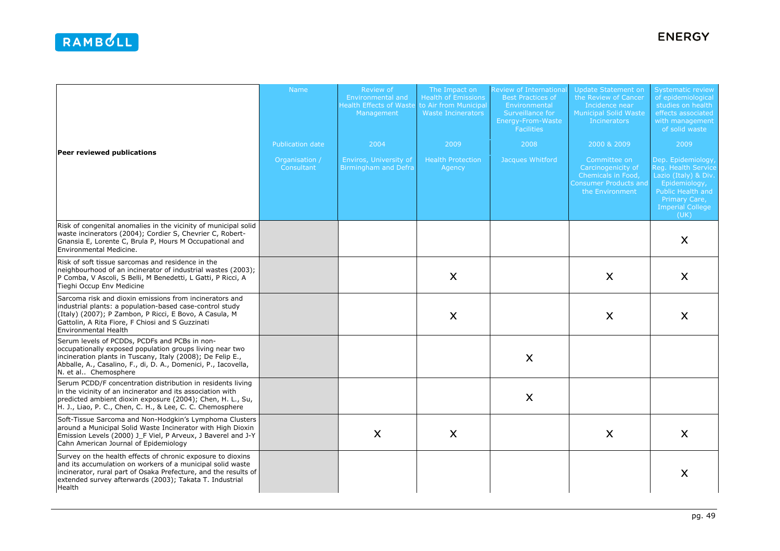| Peer reviewed publications                                                                                                                                                                                                                                        | <b>Name</b><br><b>Publication date</b><br>Organisation /<br>Consultant | Review of<br>Environmental and<br><b>Health Effects of Waste</b><br>Management<br>2004<br><b>Enviros, University of</b><br>Birmingham and Defra | The Impact on<br><b>Health of Emissions</b><br>to Air from Municipal<br>Waste Incinerators<br>2009<br><b>Health Protection</b><br>Agency | <b>Review of Internationa</b><br><b>Best Practices of</b><br>Environmental<br>Surveillance for<br>Energy-From-Waste<br><b>Facilities</b><br>2008<br>Jacques Whitford | Update Statement on<br>the Review of Cancer<br>Incidence near<br><b>Municipal Solid Waste</b><br><b>Incinerators</b><br>2000 & 2009<br>Committee on<br>Carcinogenicity of<br>Chemicals in Food,<br><b>Consumer Products and</b><br>the Environment | <b>Systematic review</b><br>of epidemiological<br>studies on health<br>effects associated<br>with management<br>of solid waste<br>2009<br>Dep. Epidemiology<br>Reg. Health Service<br>Lazio (Italy) & Div.<br>Epidemiology,<br>Public Health and<br>Primary Care,<br><b>Imperial College</b><br>(UK) |
|-------------------------------------------------------------------------------------------------------------------------------------------------------------------------------------------------------------------------------------------------------------------|------------------------------------------------------------------------|-------------------------------------------------------------------------------------------------------------------------------------------------|------------------------------------------------------------------------------------------------------------------------------------------|----------------------------------------------------------------------------------------------------------------------------------------------------------------------|----------------------------------------------------------------------------------------------------------------------------------------------------------------------------------------------------------------------------------------------------|------------------------------------------------------------------------------------------------------------------------------------------------------------------------------------------------------------------------------------------------------------------------------------------------------|
| Risk of congenital anomalies in the vicinity of municipal solid<br>waste incinerators (2004); Cordier S, Chevrier C, Robert-<br>Gnansia E, Lorente C, Brula P, Hours M Occupational and<br>Environmental Medicine.                                                |                                                                        |                                                                                                                                                 |                                                                                                                                          |                                                                                                                                                                      |                                                                                                                                                                                                                                                    | X                                                                                                                                                                                                                                                                                                    |
| Risk of soft tissue sarcomas and residence in the<br>neighbourhood of an incinerator of industrial wastes (2003);<br>P Comba, V Ascoli, S Belli, M Benedetti, L Gatti, P Ricci, A<br>Tieghi Occup Env Medicine                                                    |                                                                        |                                                                                                                                                 | $\boldsymbol{\mathsf{X}}$                                                                                                                |                                                                                                                                                                      | X                                                                                                                                                                                                                                                  | X                                                                                                                                                                                                                                                                                                    |
| Sarcoma risk and dioxin emissions from incinerators and<br>industrial plants: a population-based case-control study<br>(Italy) (2007); P Zambon, P Ricci, E Bovo, A Casula, M<br>Gattolin, A Rita Fiore, F Chiosi and S Guzzinati<br>Environmental Health         |                                                                        |                                                                                                                                                 | X                                                                                                                                        |                                                                                                                                                                      | X                                                                                                                                                                                                                                                  | X                                                                                                                                                                                                                                                                                                    |
| Serum levels of PCDDs, PCDFs and PCBs in non-<br>occupationally exposed population groups living near two<br>incineration plants in Tuscany, Italy (2008); De Felip E.,<br>Abballe, A., Casalino, F., di, D. A., Domenici, P., Iacovella,<br>N. et al Chemosphere |                                                                        |                                                                                                                                                 |                                                                                                                                          | X                                                                                                                                                                    |                                                                                                                                                                                                                                                    |                                                                                                                                                                                                                                                                                                      |
| Serum PCDD/F concentration distribution in residents living<br>in the vicinity of an incinerator and its association with<br>predicted ambient dioxin exposure (2004); Chen, H. L., Su,<br>H. J., Liao, P. C., Chen, C. H., & Lee, C. C. Chemosphere              |                                                                        |                                                                                                                                                 |                                                                                                                                          | X                                                                                                                                                                    |                                                                                                                                                                                                                                                    |                                                                                                                                                                                                                                                                                                      |
| Soft-Tissue Sarcoma and Non-Hodgkin's Lymphoma Clusters<br>around a Municipal Solid Waste Incinerator with High Dioxin<br>Emission Levels (2000) J_F Viel, P Arveux, J Baverel and J-Y<br>Cahn American Journal of Epidemiology                                   |                                                                        | $\boldsymbol{\mathsf{X}}$                                                                                                                       | $\boldsymbol{\mathsf{X}}$                                                                                                                |                                                                                                                                                                      | X                                                                                                                                                                                                                                                  | X                                                                                                                                                                                                                                                                                                    |
| Survey on the health effects of chronic exposure to dioxins<br>and its accumulation on workers of a municipal solid waste<br>incinerator, rural part of Osaka Prefecture, and the results of<br>extended survey afterwards (2003); Takata T. Industrial<br>Health |                                                                        |                                                                                                                                                 |                                                                                                                                          |                                                                                                                                                                      |                                                                                                                                                                                                                                                    | X                                                                                                                                                                                                                                                                                                    |